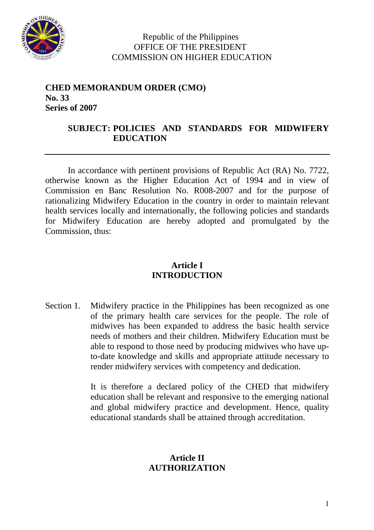

#### Republic of the Philippines OFFICE OF THE PRESIDENT COMMISSION ON HIGHER EDUCATION

#### **CHED MEMORANDUM ORDER (CMO) No. 33 Series of 2007**

# **SUBJECT: POLICIES AND STANDARDS FOR MIDWIFERY EDUCATION**

In accordance with pertinent provisions of Republic Act (RA) No. 7722, otherwise known as the Higher Education Act of 1994 and in view of Commission en Banc Resolution No. R008-2007 and for the purpose of rationalizing Midwifery Education in the country in order to maintain relevant health services locally and internationally, the following policies and standards for Midwifery Education are hereby adopted and promulgated by the Commission, thus:

# **Article I INTRODUCTION**

Section 1. Midwifery practice in the Philippines has been recognized as one of the primary health care services for the people. The role of midwives has been expanded to address the basic health service needs of mothers and their children. Midwifery Education must be able to respond to those need by producing midwives who have upto-date knowledge and skills and appropriate attitude necessary to render midwifery services with competency and dedication.

> It is therefore a declared policy of the CHED that midwifery education shall be relevant and responsive to the emerging national and global midwifery practice and development. Hence, quality educational standards shall be attained through accreditation.

#### **Article II AUTHORIZATION**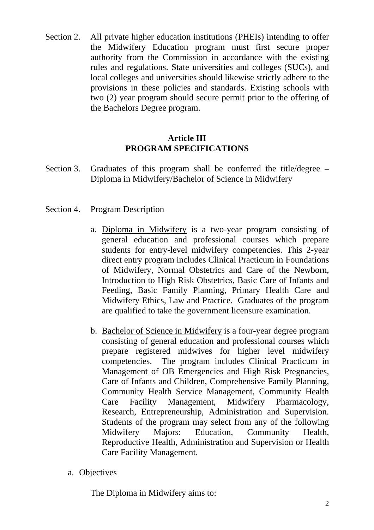Section 2. All private higher education institutions (PHEIs) intending to offer the Midwifery Education program must first secure proper authority from the Commission in accordance with the existing rules and regulations. State universities and colleges (SUCs), and local colleges and universities should likewise strictly adhere to the provisions in these policies and standards. Existing schools with two (2) year program should secure permit prior to the offering of the Bachelors Degree program.

#### **Article III PROGRAM SPECIFICATIONS**

- Section 3. Graduates of this program shall be conferred the title/degree Diploma in Midwifery/Bachelor of Science in Midwifery
- Section 4. Program Description
	- a. Diploma in Midwifery is a two-year program consisting of general education and professional courses which prepare students for entry-level midwifery competencies. This 2-year direct entry program includes Clinical Practicum in Foundations of Midwifery, Normal Obstetrics and Care of the Newborn, Introduction to High Risk Obstetrics, Basic Care of Infants and Feeding, Basic Family Planning, Primary Health Care and Midwifery Ethics, Law and Practice. Graduates of the program are qualified to take the government licensure examination.
	- b. Bachelor of Science in Midwifery is a four-year degree program consisting of general education and professional courses which prepare registered midwives for higher level midwifery competencies. The program includes Clinical Practicum in Management of OB Emergencies and High Risk Pregnancies, Care of Infants and Children, Comprehensive Family Planning, Community Health Service Management, Community Health Care Facility Management, Midwifery Pharmacology, Research, Entrepreneurship, Administration and Supervision. Students of the program may select from any of the following Midwifery Majors: Education, Community Health, Reproductive Health, Administration and Supervision or Health Care Facility Management.
	- a. Objectives

The Diploma in Midwifery aims to: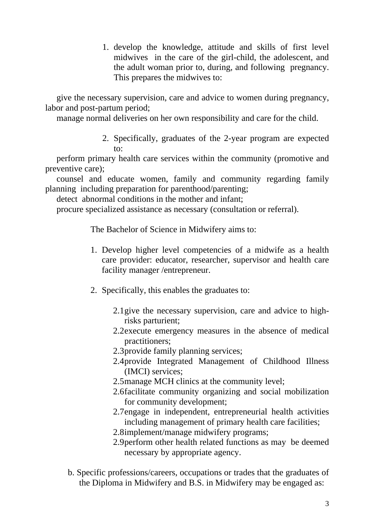1. develop the knowledge, attitude and skills of first level midwives in the care of the girl-child, the adolescent, and the adult woman prior to, during, and following pregnancy. This prepares the midwives to:

give the necessary supervision, care and advice to women during pregnancy, labor and post-partum period;

manage normal deliveries on her own responsibility and care for the child.

2. Specifically, graduates of the 2-year program are expected to:

perform primary health care services within the community (promotive and preventive care);

counsel and educate women, family and community regarding family planning including preparation for parenthood/parenting;

detect abnormal conditions in the mother and infant;

procure specialized assistance as necessary (consultation or referral).

The Bachelor of Science in Midwifery aims to:

- 1. Develop higher level competencies of a midwife as a health care provider: educator, researcher, supervisor and health care facility manager /entrepreneur.
- 2. Specifically, this enables the graduates to:
	- 2.1give the necessary supervision, care and advice to highrisks parturient;
	- 2.2execute emergency measures in the absence of medical practitioners;
	- 2.3provide family planning services;
	- 2.4provide Integrated Management of Childhood Illness (IMCI) services;
	- 2.5manage MCH clinics at the community level;
	- 2.6facilitate community organizing and social mobilization for community development;
	- 2.7engage in independent, entrepreneurial health activities including management of primary health care facilities;
	- 2.8implement/manage midwifery programs;
	- 2.9perform other health related functions as may be deemed necessary by appropriate agency.
- b. Specific professions/careers, occupations or trades that the graduates of the Diploma in Midwifery and B.S. in Midwifery may be engaged as: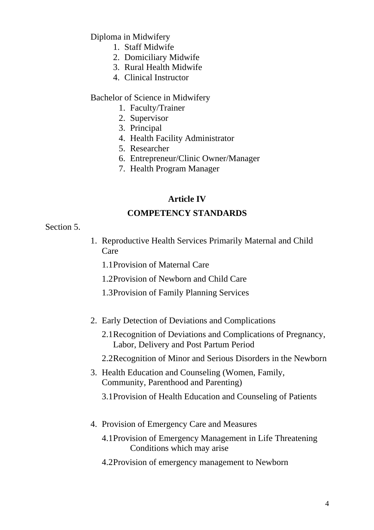Diploma in Midwifery

- 1. Staff Midwife
- 2. Domiciliary Midwife
- 3. Rural Health Midwife
- 4. Clinical Instructor

#### Bachelor of Science in Midwifery

- 1. Faculty/Trainer
- 2. Supervisor
- 3. Principal
- 4. Health Facility Administrator
- 5. Researcher
- 6. Entrepreneur/Clinic Owner/Manager
- 7. Health Program Manager

# **Article IV**

# **COMPETENCY STANDARDS**

#### Section 5.

- 1. Reproductive Health Services Primarily Maternal and Child Care
	- 1.1Provision of Maternal Care
	- 1.2Provision of Newborn and Child Care
	- 1.3Provision of Family Planning Services
- 2. Early Detection of Deviations and Complications
	- 2.1Recognition of Deviations and Complications of Pregnancy, Labor, Delivery and Post Partum Period
	- 2.2Recognition of Minor and Serious Disorders in the Newborn
- 3. Health Education and Counseling (Women, Family, Community, Parenthood and Parenting)

3.1Provision of Health Education and Counseling of Patients

- 4. Provision of Emergency Care and Measures
	- 4.1Provision of Emergency Management in Life Threatening Conditions which may arise
	- 4.2Provision of emergency management to Newborn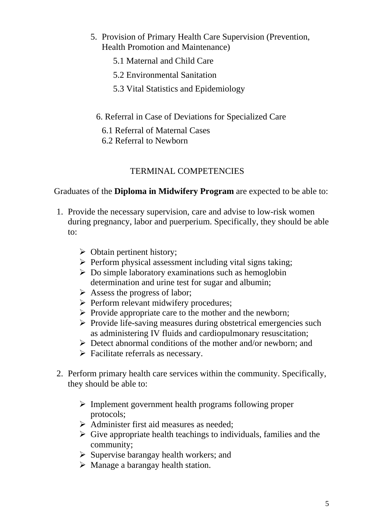- 5. Provision of Primary Health Care Supervision (Prevention, Health Promotion and Maintenance)
	- 5.1 Maternal and Child Care
	- 5.2 Environmental Sanitation
	- 5.3 Vital Statistics and Epidemiology
	- 6. Referral in Case of Deviations for Specialized Care
		- 6.1 Referral of Maternal Cases
	- 6.2 Referral to Newborn

# TERMINAL COMPETENCIES

Graduates of the **Diploma in Midwifery Program** are expected to be able to:

- 1. Provide the necessary supervision, care and advise to low-risk women during pregnancy, labor and puerperium. Specifically, they should be able  $\mathsf{to}$ :
	- $\triangleright$  Obtain pertinent history:
	- $\triangleright$  Perform physical assessment including vital signs taking:
	- $\triangleright$  Do simple laboratory examinations such as hemoglobin determination and urine test for sugar and albumin;
	- $\triangleright$  Assess the progress of labor:
	- $\triangleright$  Perform relevant midwifery procedures;
	- $\triangleright$  Provide appropriate care to the mother and the newborn;
	- $\triangleright$  Provide life-saving measures during obstetrical emergencies such as administering IV fluids and cardiopulmonary resuscitation;
	- $\triangleright$  Detect abnormal conditions of the mother and/or newborn; and
	- $\triangleright$  Facilitate referrals as necessary.
- 2. Perform primary health care services within the community. Specifically, they should be able to:
	- $\triangleright$  Implement government health programs following proper protocols;
	- $\triangleright$  Administer first aid measures as needed;
	- $\triangleright$  Give appropriate health teachings to individuals, families and the community;
	- $\triangleright$  Supervise barangay health workers; and
	- $\triangleright$  Manage a barangay health station.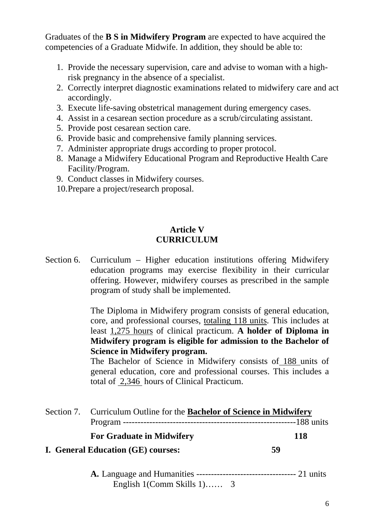Graduates of the **B S in Midwifery Program** are expected to have acquired the competencies of a Graduate Midwife. In addition, they should be able to:

- 1. Provide the necessary supervision, care and advise to woman with a highrisk pregnancy in the absence of a specialist.
- 2. Correctly interpret diagnostic examinations related to midwifery care and act accordingly.
- 3. Execute life-saving obstetrical management during emergency cases.
- 4. Assist in a cesarean section procedure as a scrub/circulating assistant.
- 5. Provide post cesarean section care.
- 6. Provide basic and comprehensive family planning services.
- 7. Administer appropriate drugs according to proper protocol.
- 8. Manage a Midwifery Educational Program and Reproductive Health Care Facility/Program.
- 9. Conduct classes in Midwifery courses.
- 10.Prepare a project/research proposal.

#### **Article V CURRICULUM**

Section 6. Curriculum – Higher education institutions offering Midwifery education programs may exercise flexibility in their curricular offering. However, midwifery courses as prescribed in the sample program of study shall be implemented.

> The Diploma in Midwifery program consists of general education, core, and professional courses, totaling 118 units. This includes at least 1,275 hours of clinical practicum. **A holder of Diploma in Midwifery program is eligible for admission to the Bachelor of Science in Midwifery program.**

> The Bachelor of Science in Midwifery consists of 188 units of general education, core and professional courses. This includes a total of 2,346 hours of Clinical Practicum.

| Section 7. Curriculum Outline for the <b>Bachelor of Science in Midwifery</b> |            |
|-------------------------------------------------------------------------------|------------|
|                                                                               |            |
| <b>For Graduate in Midwifery</b>                                              | <b>118</b> |
| I. General Education (GE) courses:                                            | 59         |
|                                                                               |            |

**A.** Language and Humanities ---------------------------------- 21 units English 1(Comm Skills 1)…… 3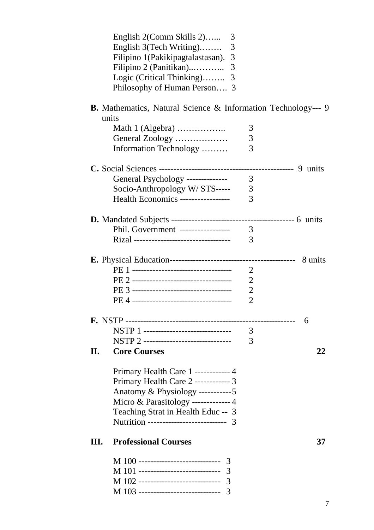|     | English 2(Comm Skills 2)<br>3                                        |                |    |
|-----|----------------------------------------------------------------------|----------------|----|
|     | English 3(Tech Writing)<br>3                                         |                |    |
|     | Filipino 1(Pakikipagtalastasan).<br>3                                |                |    |
|     | Filipino 2 (Panitikan)<br>3                                          |                |    |
|     | Logic (Critical Thinking)<br>3                                       |                |    |
|     | Philosophy of Human Person 3                                         |                |    |
|     |                                                                      |                |    |
|     | <b>B.</b> Mathematics, Natural Science & Information Technology--- 9 |                |    |
|     | units                                                                |                |    |
|     |                                                                      | 3              |    |
|     | General Zoology                                                      | 3              |    |
|     | Information Technology                                               | 3              |    |
|     |                                                                      |                |    |
|     | General Psychology --------------                                    | 3              |    |
|     | Socio-Anthropology W/STS-----                                        | 3              |    |
|     | <b>Health Economics -----------------</b>                            | 3              |    |
|     |                                                                      |                |    |
|     |                                                                      |                |    |
|     | Phil. Government -----------------                                   | 3              |    |
|     | Rizal ---------------------------------                              | 3              |    |
|     |                                                                      |                |    |
|     |                                                                      | $\overline{2}$ |    |
|     |                                                                      | $\overline{2}$ |    |
|     |                                                                      | $\overline{2}$ |    |
|     |                                                                      | $\overline{2}$ |    |
|     |                                                                      |                |    |
|     |                                                                      |                | 6  |
|     | NSTP 1 -------------------------------                               | 3              |    |
|     | NSTP 2 -------------------------------                               | 3              |    |
| II. | <b>Core Courses</b>                                                  |                | 22 |
|     |                                                                      |                |    |
|     | Primary Health Care 1 ------------ 4                                 |                |    |
|     | Primary Health Care 2 ------------ 3                                 |                |    |
|     | Anatomy & Physiology -----------5                                    |                |    |
|     | Micro & Parasitology ------------- 4                                 |                |    |
|     | Teaching Strat in Health Educ -- 3                                   |                |    |
|     | Nutrition --------------------------- 3                              |                |    |
| Ш.  | <b>Professional Courses</b>                                          |                | 37 |
|     | M 100 ------------------------------ 3                               |                |    |
|     | M 101 ------------------------------ 3                               |                |    |
|     | M 102 ------------------------------ 3                               |                |    |
|     | M 103 ----------------------------- 3                                |                |    |
|     |                                                                      |                |    |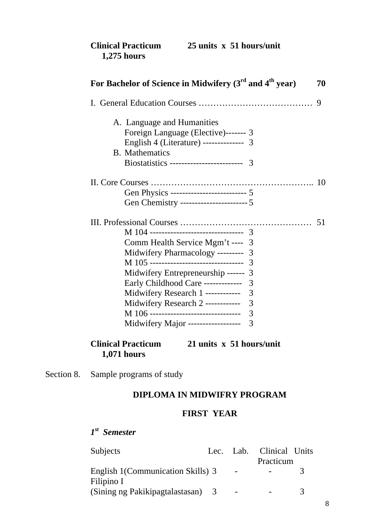| <b>Clinical Practicum</b> | 25 units x 51 hours/unit |  |
|---------------------------|--------------------------|--|
| $1,275$ hours             |                          |  |

| For Bachelor of Science in Midwifery $(3^{rd}$ and $4^{th}$ year) |   | 70 |
|-------------------------------------------------------------------|---|----|
|                                                                   |   |    |
| A. Language and Humanities                                        |   |    |
| Foreign Language (Elective)------- 3                              |   |    |
| English 4 (Literature) -------------- 3                           |   |    |
| <b>B.</b> Mathematics                                             |   |    |
| Biostatistics -------------------------- 3                        |   |    |
|                                                                   |   |    |
|                                                                   |   |    |
| Gen Physics --------------------------- 5                         |   |    |
| Gen Chemistry ------------------------ 5                          |   |    |
|                                                                   |   |    |
| M 104 --------------------------------- 3                         |   |    |
| Comm Health Service Mgm't ----                                    | 3 |    |
| Midwifery Pharmacology ---------                                  | 3 |    |
| M 105 ---------------------------------                           | 3 |    |
| Midwifery Entrepreneurship ------                                 | 3 |    |
| Early Childhood Care -------------                                | 3 |    |
| Midwifery Research 1 ------------                                 | 3 |    |
| Midwifery Research 2 ------------                                 | 3 |    |
| M 106 ---------------------------------                           | 3 |    |
| Midwifery Major ------------------                                | 3 |    |
|                                                                   |   |    |

# **Clinical Practicum 21 units x 51 hours/unit 1,071 hours**

Section 8. Sample programs of study

#### **DIPLOMA IN MIDWIFRY PROGRAM**

#### **FIRST YEAR**

# *1st Semester*

| Subjects                           |                          | Lec. Lab. Clinical Units |    |
|------------------------------------|--------------------------|--------------------------|----|
|                                    |                          | Practicum                |    |
| English 1 (Communication Skills) 3 | $\overline{\phantom{0}}$ |                          |    |
| Filipino I                         |                          |                          |    |
| (Sining ng Pakikipagtalastasan) 3  | $\overline{\phantom{0}}$ |                          | -2 |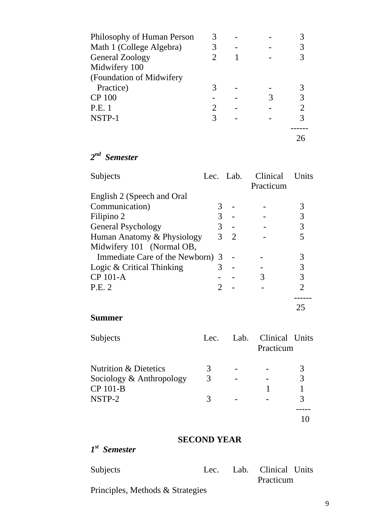| Philosophy of Human Person |                       |  |  |
|----------------------------|-----------------------|--|--|
| Math 1 (College Algebra)   |                       |  |  |
| General Zoology            |                       |  |  |
| Midwifery 100              |                       |  |  |
| (Foundation of Midwifery   |                       |  |  |
| Practice)                  |                       |  |  |
| <b>CP 100</b>              |                       |  |  |
| <b>P.E.</b> 1              | $\mathcal{D}_{\cdot}$ |  |  |
| NSTP-1                     |                       |  |  |
|                            |                       |  |  |
|                            |                       |  |  |

*2nd Semester* 

| Subjects                         |   | Lec. Lab.      | <b>Clinical</b><br>Practicum | Units          |
|----------------------------------|---|----------------|------------------------------|----------------|
| English 2 (Speech and Oral       |   |                |                              |                |
| Communication)                   |   |                |                              |                |
| Filipino 2                       | 3 |                |                              | 3              |
| <b>General Psychology</b>        | 3 |                |                              | 3              |
| Human Anatomy & Physiology       | 3 | $\overline{2}$ |                              |                |
| Midwifery 101 (Normal OB,        |   |                |                              |                |
| Immediate Care of the Newborn) 3 |   |                |                              | 3              |
| Logic & Critical Thinking        |   |                |                              | 3              |
| CP 101-A                         |   |                | 3                            | 3              |
| P.E. 2                           |   |                |                              | $\overline{2}$ |
|                                  |   |                |                              |                |
|                                  |   |                |                              |                |

# **Summer**

| Subjects                         | Lec. | Lab. | Clinical Units<br>Practicum |   |
|----------------------------------|------|------|-----------------------------|---|
| <b>Nutrition &amp; Dietetics</b> | 3    |      |                             | 3 |
| Sociology & Anthropology         | 3    |      |                             | 3 |
| CP 101-B                         |      |      |                             |   |
| NSTP-2                           |      |      |                             | 3 |
|                                  |      |      |                             |   |
|                                  |      |      |                             |   |

# **SECOND YEAR**

*1st Semester* 

| Subjects |  |  |  |  | Lec. Lab. Clinical Units |  |
|----------|--|--|--|--|--------------------------|--|
|          |  |  |  |  | Practicum                |  |
|          |  |  |  |  |                          |  |

Principles, Methods & Strategies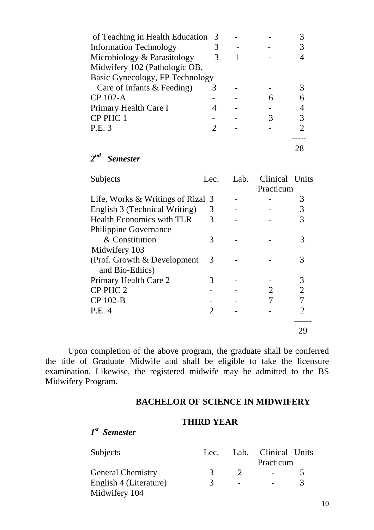| of Teaching in Health Education | -3 |  |  |
|---------------------------------|----|--|--|
| <b>Information Technology</b>   |    |  |  |
| Microbiology & Parasitology     |    |  |  |
| Midwifery 102 (Pathologic OB,   |    |  |  |
| Basic Gynecology, FP Technology |    |  |  |
| Care of Infants & Feeding)      | 3  |  |  |
| CP 102-A                        |    |  |  |
| Primary Health Care I           |    |  |  |
| CP PHC 1                        |    |  |  |
| P.E. 3                          |    |  |  |
|                                 |    |  |  |
|                                 |    |  |  |

*2nd Semester* 

| Subjects                                       | Lec.           | Lab. | Clinical Units |                             |
|------------------------------------------------|----------------|------|----------------|-----------------------------|
|                                                |                |      | Practicum      |                             |
| Life, Works & Writings of Rizal 3              |                |      |                | 3                           |
| English 3 (Technical Writing)                  | 3              |      |                | 3                           |
| <b>Health Economics with TLR</b>               | 3              |      |                | 3                           |
| <b>Philippine Governance</b>                   |                |      |                |                             |
| & Constitution                                 | 3              |      |                |                             |
| Midwifery 103                                  |                |      |                |                             |
| (Prof. Growth & Development<br>and Bio-Ethics) | 3              |      |                | 3                           |
| Primary Health Care 2                          | 3              |      |                | 3                           |
| CP PHC 2                                       |                |      | 2              | $\overline{2}$              |
| CP 102-B                                       |                |      |                | 7                           |
| P.E. 4                                         | $\mathfrak{D}$ |      |                | $\mathcal{D}_{\mathcal{L}}$ |
|                                                |                |      |                |                             |

Upon completion of the above program, the graduate shall be conferred the title of Graduate Midwife and shall be eligible to take the licensure examination. Likewise, the registered midwife may be admitted to the BS Midwifery Program.

#### **BACHELOR OF SCIENCE IN MIDWIFERY**

#### **THIRD YEAR**

*1st Semester* 

| Subjects                 | Lec. |                          | Lab. Clinical Units |  |
|--------------------------|------|--------------------------|---------------------|--|
|                          |      |                          | Practicum           |  |
| <b>General Chemistry</b> | К    |                          |                     |  |
| English 4 (Literature)   | 3    | $\overline{\phantom{a}}$ |                     |  |
| Midwifery 104            |      |                          |                     |  |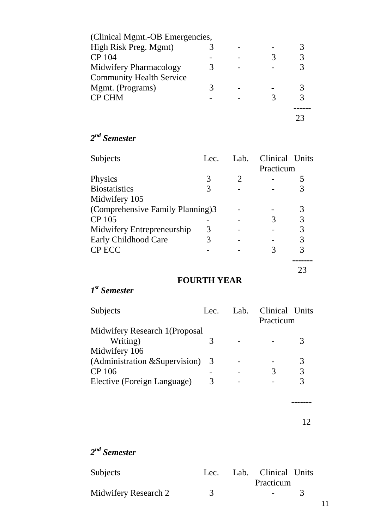| (Clinical Mgmt.-OB Emergencies, |  |  |
|---------------------------------|--|--|
| High Risk Preg. Mgmt)           |  |  |
| CP 104                          |  |  |
| Midwifery Pharmacology          |  |  |
| <b>Community Health Service</b> |  |  |
| Mgmt. (Programs)                |  |  |
| <b>CP CHM</b>                   |  |  |
|                                 |  |  |
|                                 |  |  |

# *2nd Semester*

| Subjects                         | Lec. | Lab. | Clinical Units |    |
|----------------------------------|------|------|----------------|----|
|                                  |      |      | Practicum      |    |
| Physics                          | 3    |      |                |    |
| <b>Biostatistics</b>             |      |      |                | 3  |
| Midwifery 105                    |      |      |                |    |
| (Comprehensive Family Planning)3 |      |      |                | 3  |
| CP 105                           |      |      | 3              | 3  |
| Midwifery Entrepreneurship       | 3    |      |                | 3  |
| Early Childhood Care             |      |      |                | 3  |
| <b>CP ECC</b>                    |      |      | 3              | 3  |
|                                  |      |      |                |    |
|                                  |      |      |                | 23 |

# **FOURTH YEAR**

# *1st Semester*

| Subjects                       | Lec. | Lab. | Clinical Units |   |
|--------------------------------|------|------|----------------|---|
|                                |      |      | Practicum      |   |
| Midwifery Research 1 (Proposal |      |      |                |   |
| Writing)                       | 3    |      |                | 3 |
| Midwifery 106                  |      |      |                |   |
| (Administration & Supervision) | 3    |      |                | 3 |
| CP 106                         |      |      | 3              | 3 |
| Elective (Foreign Language)    | 3    |      |                | 3 |
|                                |      |      |                |   |
|                                |      |      |                |   |
|                                |      |      |                |   |
|                                |      |      |                |   |

# *2nd Semester*

| Subjects             |  | Lec. Lab. Clinical Units |  |
|----------------------|--|--------------------------|--|
|                      |  | Practicum                |  |
| Midwifery Research 2 |  | $\sim$ 100 $\mu$         |  |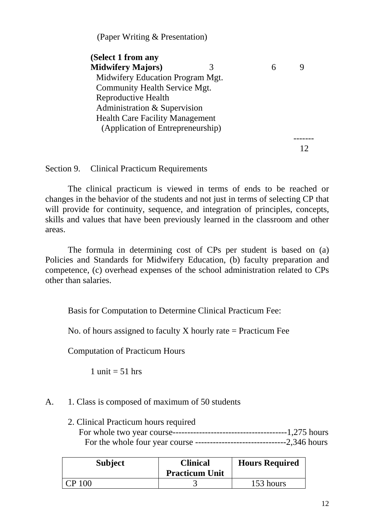(Paper Writing & Presentation)

| (Select 1 from any                     |   |  |
|----------------------------------------|---|--|
| <b>Midwifery Majors)</b>               | 6 |  |
| Midwifery Education Program Mgt.       |   |  |
| Community Health Service Mgt.          |   |  |
| Reproductive Health                    |   |  |
| Administration & Supervision           |   |  |
| <b>Health Care Facility Management</b> |   |  |
| (Application of Entrepreneurship)      |   |  |
|                                        |   |  |
|                                        |   |  |

Section 9. Clinical Practicum Requirements

The clinical practicum is viewed in terms of ends to be reached or changes in the behavior of the students and not just in terms of selecting CP that will provide for continuity, sequence, and integration of principles, concepts, skills and values that have been previously learned in the classroom and other areas.

The formula in determining cost of CPs per student is based on (a) Policies and Standards for Midwifery Education, (b) faculty preparation and competence, (c) overhead expenses of the school administration related to CPs other than salaries.

Basis for Computation to Determine Clinical Practicum Fee:

No. of hours assigned to faculty X hourly rate  $=$  Practicum Fee

Computation of Practicum Hours

1 unit  $= 51$  hrs

# A. 1. Class is composed of maximum of 50 students

 2. Clinical Practicum hours required For whole two year course---------------------------------------1,275 hours For the whole four year course -------------------------------2,346 hours

| <b>Subject</b> | <b>Clinical</b><br><b>Practicum Unit</b> | <b>Hours Required</b> |
|----------------|------------------------------------------|-----------------------|
| <b>CP</b> 100  |                                          | 153 hours             |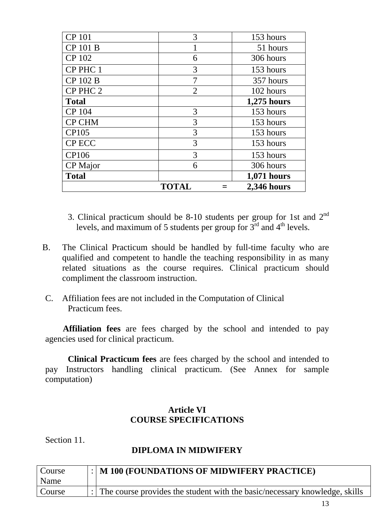| <b>CP</b> 101   | 3              | 153 hours   |
|-----------------|----------------|-------------|
| CP 101 B        |                | 51 hours    |
| CP 102          | 6              | 306 hours   |
| CP PHC 1        | 3              | 153 hours   |
| CP 102 B        | 7              | 357 hours   |
| CP PHC 2        | $\overline{2}$ | 102 hours   |
| <b>Total</b>    |                | 1,275 hours |
| CP 104          | 3              | 153 hours   |
| <b>CP CHM</b>   | 3              | 153 hours   |
| <b>CP105</b>    | 3              | 153 hours   |
| <b>CP ECC</b>   | 3              | 153 hours   |
| <b>CP106</b>    | 3              | 153 hours   |
| <b>CP</b> Major | 6              | 306 hours   |
| <b>Total</b>    |                | 1,071 hours |
|                 | <b>TOTAL</b>   | 2,346 hours |

- 3. Clinical practicum should be 8-10 students per group for 1st and  $2<sup>nd</sup>$ levels, and maximum of 5 students per group for  $3<sup>rd</sup>$  and  $4<sup>th</sup>$  levels.
- B. The Clinical Practicum should be handled by full-time faculty who are qualified and competent to handle the teaching responsibility in as many related situations as the course requires. Clinical practicum should compliment the classroom instruction.
- C. Affiliation fees are not included in the Computation of Clinical Practicum fees.

 **Affiliation fees** are fees charged by the school and intended to pay agencies used for clinical practicum.

**Clinical Practicum fees** are fees charged by the school and intended to pay Instructors handling clinical practicum. (See Annex for sample computation)

# **Article VI COURSE SPECIFICATIONS**

Section 11.

# **DIPLOMA IN MIDWIFERY**

| Course<br>Name | $\therefore$   M 100 (FOUNDATIONS OF MIDWIFERY PRACTICE)                   |
|----------------|----------------------------------------------------------------------------|
| Course         | The course provides the student with the basic/necessary knowledge, skills |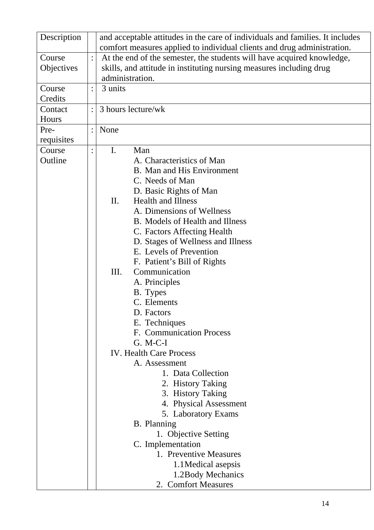| Description |                | and acceptable attitudes in the care of individuals and families. It includes |
|-------------|----------------|-------------------------------------------------------------------------------|
|             |                | comfort measures applied to individual clients and drug administration.       |
| Course      |                | At the end of the semester, the students will have acquired knowledge,        |
| Objectives  |                | skills, and attitude in instituting nursing measures including drug           |
|             |                | administration.                                                               |
| Course      |                | 3 units                                                                       |
| Credits     |                |                                                                               |
| Contact     |                | 3 hours lecture/wk                                                            |
| Hours       |                |                                                                               |
| Pre-        | $\ddot{\cdot}$ | None                                                                          |
| requisites  |                |                                                                               |
| Course      |                | $\mathbf{I}$ .<br>Man                                                         |
| Outline     |                | A. Characteristics of Man                                                     |
|             |                | <b>B.</b> Man and His Environment                                             |
|             |                | C. Needs of Man                                                               |
|             |                | D. Basic Rights of Man                                                        |
|             |                | <b>Health and Illness</b><br>II.                                              |
|             |                | A. Dimensions of Wellness                                                     |
|             |                | <b>B.</b> Models of Health and Illness                                        |
|             |                | C. Factors Affecting Health                                                   |
|             |                | D. Stages of Wellness and Illness                                             |
|             |                | E. Levels of Prevention                                                       |
|             |                | F. Patient's Bill of Rights                                                   |
|             |                | Ш.<br>Communication                                                           |
|             |                | A. Principles                                                                 |
|             |                | B. Types                                                                      |
|             |                | C. Elements                                                                   |
|             |                | D. Factors                                                                    |
|             |                |                                                                               |
|             |                | E. Techniques<br>F. Communication Process                                     |
|             |                | $G. M-C-I$                                                                    |
|             |                | <b>IV. Health Care Process</b>                                                |
|             |                |                                                                               |
|             |                | A. Assessment                                                                 |
|             |                | 1. Data Collection                                                            |
|             |                | 2. History Taking                                                             |
|             |                | 3. History Taking                                                             |
|             |                | 4. Physical Assessment                                                        |
|             |                | 5. Laboratory Exams                                                           |
|             |                | <b>B.</b> Planning                                                            |
|             |                | 1. Objective Setting                                                          |
|             |                | C. Implementation                                                             |
|             |                | 1. Preventive Measures                                                        |
|             |                | 1.1 Medical asepsis                                                           |
|             |                | 1.2 Body Mechanics                                                            |
|             |                | 2. Comfort Measures                                                           |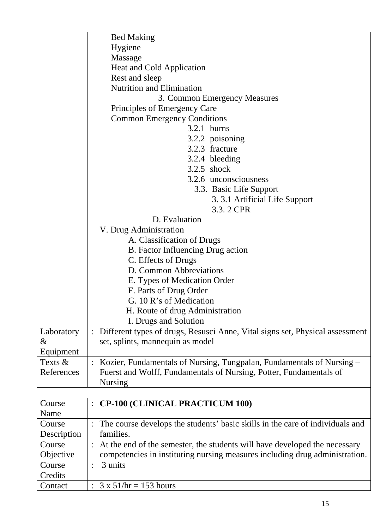|                |                | <b>Bed Making</b>                                                             |
|----------------|----------------|-------------------------------------------------------------------------------|
|                |                | Hygiene                                                                       |
|                |                | Massage                                                                       |
|                |                | Heat and Cold Application                                                     |
|                |                | Rest and sleep                                                                |
|                |                | <b>Nutrition and Elimination</b>                                              |
|                |                | 3. Common Emergency Measures                                                  |
|                |                | Principles of Emergency Care                                                  |
|                |                | <b>Common Emergency Conditions</b>                                            |
|                |                | $3.2.1$ burns                                                                 |
|                |                | 3.2.2 poisoning                                                               |
|                |                | 3.2.3 fracture                                                                |
|                |                | 3.2.4 bleeding                                                                |
|                |                | $3.2.5$ shock                                                                 |
|                |                | 3.2.6 unconsciousness                                                         |
|                |                | 3.3. Basic Life Support                                                       |
|                |                | 3. 3.1 Artificial Life Support                                                |
|                |                | 3.3.2 CPR                                                                     |
|                |                | D. Evaluation                                                                 |
|                |                | V. Drug Administration                                                        |
|                |                | A. Classification of Drugs                                                    |
|                |                |                                                                               |
|                |                | B. Factor Influencing Drug action                                             |
|                |                | C. Effects of Drugs<br>D. Common Abbreviations                                |
|                |                |                                                                               |
|                |                | E. Types of Medication Order                                                  |
|                |                | F. Parts of Drug Order<br>G. 10 R's of Medication                             |
|                |                |                                                                               |
|                |                | H. Route of drug Administration                                               |
|                |                | I. Drugs and Solution                                                         |
| Laboratory     |                | Different types of drugs, Resusci Anne, Vital signs set, Physical assessment  |
| &              |                | set, splints, mannequin as model                                              |
| Equipment      |                |                                                                               |
| Texts &        |                | Kozier, Fundamentals of Nursing, Tungpalan, Fundamentals of Nursing –         |
| References     |                | Fuerst and Wolff, Fundamentals of Nursing, Potter, Fundamentals of            |
|                |                | <b>Nursing</b>                                                                |
|                |                |                                                                               |
| Course<br>Name | $\ddot{\cdot}$ | <b>CP-100 (CLINICAL PRACTICUM 100)</b>                                        |
|                |                |                                                                               |
| Course         |                | The course develops the students' basic skills in the care of individuals and |
| Description    |                | families.                                                                     |
| Course         |                | At the end of the semester, the students will have developed the necessary    |
| Objective      |                | competencies in instituting nursing measures including drug administration.   |
| Course         | $\ddot{\cdot}$ | 3 units                                                                       |
| Credits        |                |                                                                               |
| Contact        |                | $3 \times 51/hr = 153 hours$                                                  |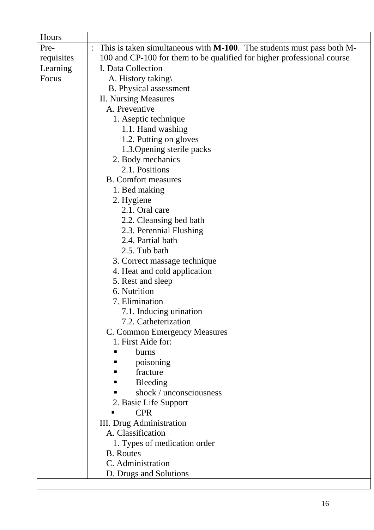| Hours      |                |                                                                               |
|------------|----------------|-------------------------------------------------------------------------------|
| Pre-       | $\ddot{\cdot}$ | This is taken simultaneous with <b>M-100</b> . The students must pass both M- |
| requisites |                | 100 and CP-100 for them to be qualified for higher professional course        |
| Learning   |                | I. Data Collection                                                            |
| Focus      |                | A. History taking\                                                            |
|            |                | <b>B.</b> Physical assessment                                                 |
|            |                | <b>II. Nursing Measures</b>                                                   |
|            |                | A. Preventive                                                                 |
|            |                | 1. Aseptic technique                                                          |
|            |                | 1.1. Hand washing                                                             |
|            |                | 1.2. Putting on gloves                                                        |
|            |                | 1.3. Opening sterile packs                                                    |
|            |                | 2. Body mechanics                                                             |
|            |                | 2.1. Positions                                                                |
|            |                | <b>B.</b> Comfort measures                                                    |
|            |                | 1. Bed making                                                                 |
|            |                | 2. Hygiene                                                                    |
|            |                | 2.1. Oral care                                                                |
|            |                | 2.2. Cleansing bed bath                                                       |
|            |                | 2.3. Perennial Flushing                                                       |
|            |                | 2.4. Partial bath                                                             |
|            |                | 2.5. Tub bath                                                                 |
|            |                | 3. Correct massage technique                                                  |
|            |                | 4. Heat and cold application                                                  |
|            |                | 5. Rest and sleep                                                             |
|            |                | 6. Nutrition                                                                  |
|            |                | 7. Elimination                                                                |
|            |                | 7.1. Inducing urination                                                       |
|            |                | 7.2. Catheterization                                                          |
|            |                | C. Common Emergency Measures                                                  |
|            |                | 1. First Aide for:                                                            |
|            |                | burns                                                                         |
|            |                | poisoning                                                                     |
|            |                | fracture                                                                      |
|            |                | Bleeding                                                                      |
|            |                | shock / unconsciousness                                                       |
|            |                | 2. Basic Life Support                                                         |
|            |                | <b>CPR</b>                                                                    |
|            |                | III. Drug Administration                                                      |
|            |                | A. Classification                                                             |
|            |                | 1. Types of medication order                                                  |
|            |                | <b>B.</b> Routes                                                              |
|            |                | C. Administration                                                             |
|            |                | D. Drugs and Solutions                                                        |

 $\overline{\phantom{a}}$ 

 $\overline{\phantom{a}}$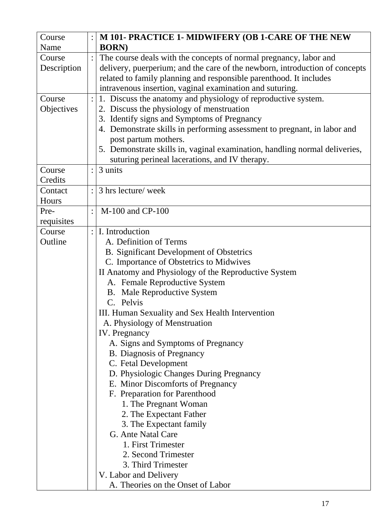| Course      |                | M 101- PRACTICE 1- MIDWIFERY (OB 1-CARE OF THE NEW                           |
|-------------|----------------|------------------------------------------------------------------------------|
| Name        |                | <b>BORN</b> )                                                                |
| Course      |                | The course deals with the concepts of normal pregnancy, labor and            |
| Description |                | delivery, puerperium; and the care of the newborn, introduction of concepts  |
|             |                | related to family planning and responsible parenthood. It includes           |
|             |                | intravenous insertion, vaginal examination and suturing.                     |
| Course      |                | 1. Discuss the anatomy and physiology of reproductive system.                |
| Objectives  |                | 2. Discuss the physiology of menstruation                                    |
|             |                | 3. Identify signs and Symptoms of Pregnancy                                  |
|             |                | 4. Demonstrate skills in performing assessment to pregnant, in labor and     |
|             |                | post partum mothers.                                                         |
|             |                | 5. Demonstrate skills in, vaginal examination, handling normal deliveries,   |
|             |                | suturing perineal lacerations, and IV therapy.                               |
| Course      |                | 3 units                                                                      |
| Credits     |                |                                                                              |
| Contact     | $\ddot{\cdot}$ | 3 hrs lecture/ week                                                          |
| Hours       |                |                                                                              |
| Pre-        | $\ddot{\cdot}$ | M-100 and CP-100                                                             |
| requisites  |                |                                                                              |
| Course      | $\ddot{\cdot}$ | I. Introduction                                                              |
| Outline     |                | A. Definition of Terms                                                       |
|             |                | <b>B.</b> Significant Development of Obstetrics                              |
|             |                | C. Importance of Obstetrics to Midwives                                      |
|             |                | II Anatomy and Physiology of the Reproductive System                         |
|             |                | A. Female Reproductive System                                                |
|             |                | <b>B.</b> Male Reproductive System                                           |
|             |                | C. Pelvis                                                                    |
|             |                | III. Human Sexuality and Sex Health Intervention                             |
|             |                | A. Physiology of Menstruation                                                |
|             |                | IV. Pregnancy                                                                |
|             |                | A. Signs and Symptoms of Pregnancy                                           |
|             |                | <b>B.</b> Diagnosis of Pregnancy                                             |
|             |                | C. Fetal Development                                                         |
|             |                | D. Physiologic Changes During Pregnancy<br>E. Minor Discomforts of Pregnancy |
|             |                | F. Preparation for Parenthood                                                |
|             |                | 1. The Pregnant Woman                                                        |
|             |                | 2. The Expectant Father                                                      |
|             |                | 3. The Expectant family                                                      |
|             |                | G. Ante Natal Care                                                           |
|             |                | 1. First Trimester                                                           |
|             |                | 2. Second Trimester                                                          |
|             |                | 3. Third Trimester                                                           |
|             |                | V. Labor and Delivery                                                        |
|             |                | A. Theories on the Onset of Labor                                            |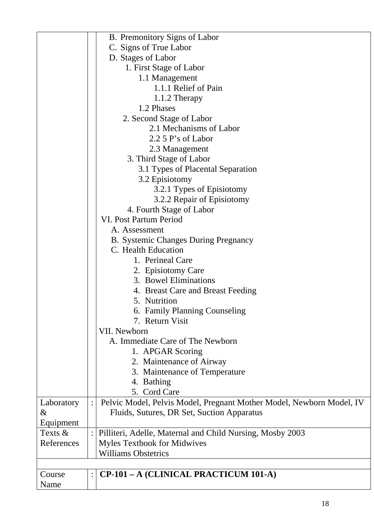|            |                | B. Premonitory Signs of Labor                                        |
|------------|----------------|----------------------------------------------------------------------|
|            |                | C. Signs of True Labor                                               |
|            |                | D. Stages of Labor                                                   |
|            |                | 1. First Stage of Labor                                              |
|            |                | 1.1 Management                                                       |
|            |                | 1.1.1 Relief of Pain                                                 |
|            |                | 1.1.2 Therapy                                                        |
|            |                | 1.2 Phases                                                           |
|            |                | 2. Second Stage of Labor                                             |
|            |                | 2.1 Mechanisms of Labor                                              |
|            |                | $2.2$ 5 P's of Labor                                                 |
|            |                | 2.3 Management                                                       |
|            |                | 3. Third Stage of Labor                                              |
|            |                | 3.1 Types of Placental Separation                                    |
|            |                | 3.2 Episiotomy                                                       |
|            |                | 3.2.1 Types of Episiotomy                                            |
|            |                | 3.2.2 Repair of Episiotomy                                           |
|            |                | 4. Fourth Stage of Labor                                             |
|            |                | VI. Post Partum Period                                               |
|            |                | A. Assessment                                                        |
|            |                | <b>B.</b> Systemic Changes During Pregnancy                          |
|            |                | C. Health Education                                                  |
|            |                | 1. Perineal Care                                                     |
|            |                |                                                                      |
|            |                | 2. Episiotomy Care<br>3. Bowel Eliminations                          |
|            |                |                                                                      |
|            |                | 4. Breast Care and Breast Feeding                                    |
|            |                | 5. Nutrition                                                         |
|            |                | 6. Family Planning Counseling                                        |
|            |                | 7. Return Visit                                                      |
|            |                | VII. Newborn                                                         |
|            |                | A. Immediate Care of The Newborn                                     |
|            |                | 1. APGAR Scoring                                                     |
|            |                | 2. Maintenance of Airway                                             |
|            |                | 3. Maintenance of Temperature                                        |
|            |                | 4. Bathing                                                           |
|            |                | 5. Cord Care                                                         |
| Laboratory | $\ddot{\cdot}$ | Pelvic Model, Pelvis Model, Pregnant Mother Model, Newborn Model, IV |
| &          |                | Fluids, Sutures, DR Set, Suction Apparatus                           |
| Equipment  |                |                                                                      |
| Texts &    |                | Pilliteri, Adelle, Maternal and Child Nursing, Mosby 2003            |
| References |                | <b>Myles Textbook for Midwives</b>                                   |
|            |                | <b>Williams Obstetrics</b>                                           |
|            |                |                                                                      |
| Course     | $\ddot{\cdot}$ | CP-101 - A (CLINICAL PRACTICUM 101-A)                                |
| Name       |                |                                                                      |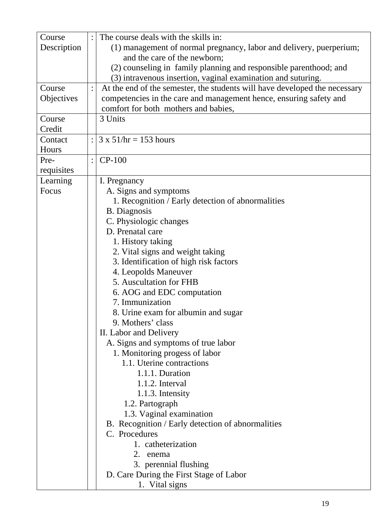| Course      | The course deals with the skills in:                                       |
|-------------|----------------------------------------------------------------------------|
| Description | (1) management of normal pregnancy, labor and delivery, puerperium;        |
|             | and the care of the newborn;                                               |
|             | (2) counseling in family planning and responsible parenthood; and          |
|             | (3) intravenous insertion, vaginal examination and suturing.               |
| Course      | At the end of the semester, the students will have developed the necessary |
| Objectives  | competencies in the care and management hence, ensuring safety and         |
|             | comfort for both mothers and babies,                                       |
| Course      | 3 Units                                                                    |
| Credit      |                                                                            |
| Contact     | $3 \times 51$ /hr = 153 hours                                              |
| Hours       |                                                                            |
| Pre-        | $CP-100$                                                                   |
| requisites  |                                                                            |
| Learning    | I. Pregnancy                                                               |
| Focus       | A. Signs and symptoms                                                      |
|             | 1. Recognition / Early detection of abnormalities                          |
|             | <b>B.</b> Diagnosis                                                        |
|             | C. Physiologic changes                                                     |
|             | D. Prenatal care                                                           |
|             | 1. History taking                                                          |
|             | 2. Vital signs and weight taking                                           |
|             | 3. Identification of high risk factors                                     |
|             | 4. Leopolds Maneuver                                                       |
|             | 5. Auscultation for FHB                                                    |
|             | 6. AOG and EDC computation                                                 |
|             | 7. Immunization                                                            |
|             | 8. Urine exam for albumin and sugar                                        |
|             | 9. Mothers' class                                                          |
|             | II. Labor and Delivery                                                     |
|             | A. Signs and symptoms of true labor                                        |
|             | 1. Monitoring progess of labor                                             |
|             | 1.1. Uterine contractions                                                  |
|             | 1.1.1. Duration                                                            |
|             | $1.1.2$ . Interval                                                         |
|             | 1.1.3. Intensity                                                           |
|             | 1.2. Partograph                                                            |
|             | 1.3. Vaginal examination                                                   |
|             | B. Recognition / Early detection of abnormalities                          |
|             | C. Procedures                                                              |
|             | 1. catheterization                                                         |
|             | 2. enema                                                                   |
|             | 3. perennial flushing                                                      |
|             | D. Care During the First Stage of Labor                                    |
|             | 1. Vital signs                                                             |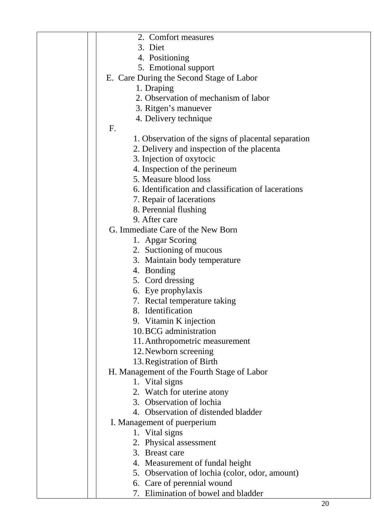| 2. Comfort measures                                 |
|-----------------------------------------------------|
| 3. Diet                                             |
| 4. Positioning                                      |
| 5. Emotional support                                |
| E. Care During the Second Stage of Labor            |
| 1. Draping                                          |
| 2. Observation of mechanism of labor                |
| 3. Ritgen's manuever                                |
| 4. Delivery technique                               |
| F.                                                  |
| 1. Observation of the signs of placental separation |
| 2. Delivery and inspection of the placenta          |
| 3. Injection of oxytocic                            |
| 4. Inspection of the perineum                       |
| 5. Measure blood loss                               |
| 6. Identification and classification of lacerations |
| 7. Repair of lacerations                            |
| 8. Perennial flushing                               |
| 9. After care                                       |
| G. Immediate Care of the New Born                   |
| 1. Apgar Scoring                                    |
| 2. Suctioning of mucous                             |
| 3. Maintain body temperature                        |
| 4. Bonding                                          |
| 5. Cord dressing                                    |
|                                                     |
| 6. Eye prophylaxis                                  |
| 7. Rectal temperature taking                        |
| 8. Identification                                   |
| 9. Vitamin K injection<br>10. BCG administration    |
|                                                     |
| 11. Anthropometric measurement                      |
| 12. Newborn screening                               |
| 13. Registration of Birth                           |
| H. Management of the Fourth Stage of Labor          |
| 1. Vital signs                                      |
| 2. Watch for uterine atony                          |
| 3. Observation of lochia                            |
| 4. Observation of distended bladder                 |
| I. Management of puerperium                         |
| 1. Vital signs                                      |
| 2. Physical assessment                              |
| 3. Breast care                                      |
| 4. Measurement of fundal height                     |
| 5. Observation of lochia (color, odor, amount)      |
| 6. Care of perennial wound                          |
| 7. Elimination of bowel and bladder                 |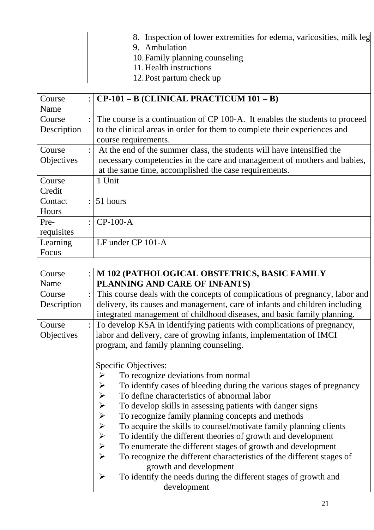|             |           | 8. Inspection of lower extremities for edema, varicosities, milk leg                |
|-------------|-----------|-------------------------------------------------------------------------------------|
|             |           | 9. Ambulation                                                                       |
|             |           | 10. Family planning counseling                                                      |
|             |           | 11. Health instructions                                                             |
|             |           | 12. Post partum check up                                                            |
|             |           |                                                                                     |
| Course      |           | CP-101 - B (CLINICAL PRACTICUM 101 - B)                                             |
| Name        |           |                                                                                     |
| Course      |           | The course is a continuation of CP 100-A. It enables the students to proceed        |
| Description |           | to the clinical areas in order for them to complete their experiences and           |
|             |           | course requirements.                                                                |
| Course      |           | At the end of the summer class, the students will have intensified the              |
| Objectives  |           | necessary competencies in the care and management of mothers and babies,            |
|             |           | at the same time, accomplished the case requirements.                               |
| Course      |           | 1 Unit                                                                              |
| Credit      |           |                                                                                     |
| Contact     |           | 51 hours                                                                            |
| Hours       |           |                                                                                     |
| Pre-        | $\bullet$ | $CP-100-A$                                                                          |
| requisites  |           |                                                                                     |
| Learning    |           | LF under CP 101-A                                                                   |
| Focus       |           |                                                                                     |
|             |           |                                                                                     |
| Course      |           | M 102 (PATHOLOGICAL OBSTETRICS, BASIC FAMILY                                        |
| Name        |           | PLANNING AND CARE OF INFANTS)                                                       |
| Course      |           | This course deals with the concepts of complications of pregnancy, labor and        |
| Description |           | delivery, its causes and management, care of infants and children including         |
|             |           | integrated management of childhood diseases, and basic family planning.             |
| Course      |           | To develop KSA in identifying patients with complications of pregnancy,             |
| Objectives  |           | labor and delivery, care of growing infants, implementation of IMCI                 |
|             |           | program, and family planning counseling.                                            |
|             |           |                                                                                     |
|             |           |                                                                                     |
|             |           | Specific Objectives:                                                                |
|             |           | To recognize deviations from normal<br>➤                                            |
|             |           | To identify cases of bleeding during the various stages of pregnancy                |
|             |           | To define characteristics of abnormal labor                                         |
|             |           | To develop skills in assessing patients with danger signs                           |
|             |           | To recognize family planning concepts and methods                                   |
|             |           | To acquire the skills to counsel/motivate family planning clients                   |
|             |           | To identify the different theories of growth and development                        |
|             |           | To enumerate the different stages of growth and development                         |
|             |           | ひひひひひひ<br>To recognize the different characteristics of the different stages of     |
|             |           | growth and development                                                              |
|             |           | To identify the needs during the different stages of growth and<br>➤<br>development |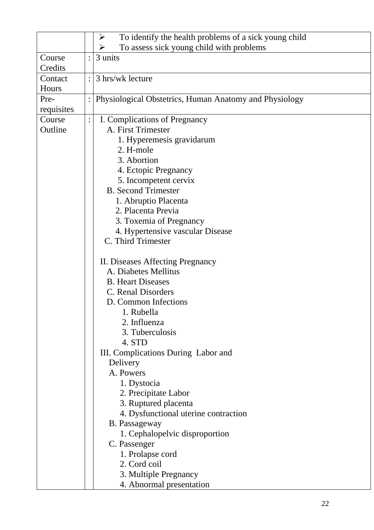|            | To identify the health problems of a sick young child<br>$\blacktriangleright$ |
|------------|--------------------------------------------------------------------------------|
|            | To assess sick young child with problems<br>➤                                  |
| Course     | 3 units                                                                        |
| Credits    |                                                                                |
| Contact    | 3 hrs/wk lecture                                                               |
| Hours      |                                                                                |
| Pre-       | Physiological Obstetrics, Human Anatomy and Physiology                         |
| requisites |                                                                                |
| Course     | I. Complications of Pregnancy                                                  |
| Outline    | A. First Trimester                                                             |
|            | 1. Hyperemesis gravidarum                                                      |
|            | 2. H-mole                                                                      |
|            | 3. Abortion                                                                    |
|            | 4. Ectopic Pregnancy                                                           |
|            | 5. Incompetent cervix                                                          |
|            | <b>B.</b> Second Trimester                                                     |
|            | 1. Abruptio Placenta                                                           |
|            | 2. Placenta Previa                                                             |
|            | 3. Toxemia of Pregnancy                                                        |
|            | 4. Hypertensive vascular Disease                                               |
|            | C. Third Trimester                                                             |
|            |                                                                                |
|            | II. Diseases Affecting Pregnancy                                               |
|            | A. Diabetes Mellitus                                                           |
|            | <b>B.</b> Heart Diseases                                                       |
|            | C. Renal Disorders                                                             |
|            | D. Common Infections                                                           |
|            | 1. Rubella                                                                     |
|            | 2. Influenza                                                                   |
|            | 3. Tuberculosis                                                                |
|            | 4. STD                                                                         |
|            | III. Complications During Labor and                                            |
|            | Delivery                                                                       |
|            | A. Powers                                                                      |
|            | 1. Dystocia                                                                    |
|            | 2. Precipitate Labor                                                           |
|            | 3. Ruptured placenta                                                           |
|            | 4. Dysfunctional uterine contraction                                           |
|            | B. Passageway                                                                  |
|            | 1. Cephalopelvic disproportion                                                 |
|            | C. Passenger                                                                   |
|            | 1. Prolapse cord                                                               |
|            | 2. Cord coil                                                                   |
|            | 3. Multiple Pregnancy                                                          |
|            | 4. Abnormal presentation                                                       |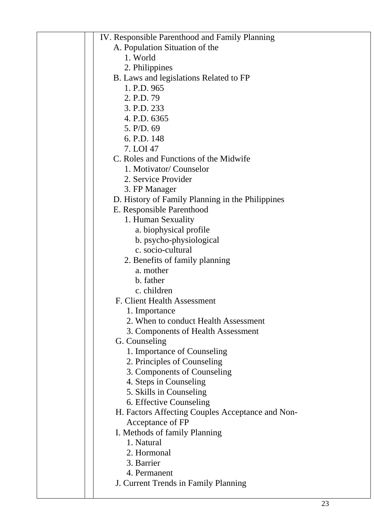| IV. Responsible Parenthood and Family Planning   |
|--------------------------------------------------|
| A. Population Situation of the                   |
| 1. World                                         |
| 2. Philippines                                   |
| B. Laws and legislations Related to FP           |
| 1. P.D. 965                                      |
| 2. P.D. 79                                       |
| 3. P.D. 233                                      |
| 4. P.D. 6365                                     |
| 5. P/D. 69                                       |
| 6. P.D. 148                                      |
| 7. LOI 47                                        |
| C. Roles and Functions of the Midwife            |
| 1. Motivator/Counselor                           |
| 2. Service Provider                              |
| 3. FP Manager                                    |
| D. History of Family Planning in the Philippines |
| E. Responsible Parenthood                        |
| 1. Human Sexuality                               |
| a. biophysical profile                           |
| b. psycho-physiological                          |
| c. socio-cultural                                |
| 2. Benefits of family planning                   |
| a. mother                                        |
| b. father                                        |
| c. children                                      |
| F. Client Health Assessment                      |
| 1. Importance                                    |
| 2. When to conduct Health Assessment             |
| 3. Components of Health Assessment               |
| G. Counseling                                    |
| 1. Importance of Counseling                      |
| 2. Principles of Counseling                      |
| 3. Components of Counseling                      |
| 4. Steps in Counseling                           |
| 5. Skills in Counseling                          |
| 6. Effective Counseling                          |
| H. Factors Affecting Couples Acceptance and Non- |
| Acceptance of FP                                 |
| I. Methods of family Planning                    |
| 1. Natural                                       |
| 2. Hormonal                                      |
| 3. Barrier                                       |
| 4. Permanent                                     |
| J. Current Trends in Family Planning             |
|                                                  |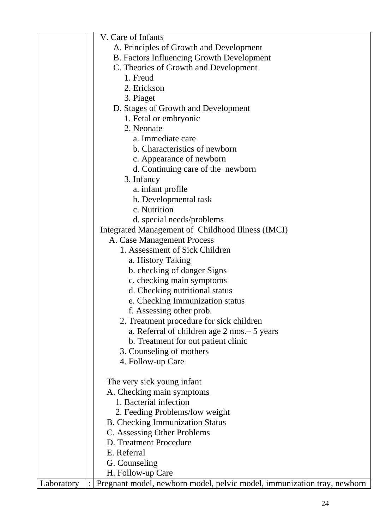|            | V. Care of Infants                                                      |
|------------|-------------------------------------------------------------------------|
|            | A. Principles of Growth and Development                                 |
|            | <b>B.</b> Factors Influencing Growth Development                        |
|            | C. Theories of Growth and Development                                   |
|            | 1. Freud                                                                |
|            | 2. Erickson                                                             |
|            | 3. Piaget                                                               |
|            | D. Stages of Growth and Development                                     |
|            | 1. Fetal or embryonic                                                   |
|            | 2. Neonate                                                              |
|            | a. Immediate care                                                       |
|            | b. Characteristics of newborn                                           |
|            | c. Appearance of newborn                                                |
|            | d. Continuing care of the newborn                                       |
|            | 3. Infancy                                                              |
|            | a. infant profile                                                       |
|            |                                                                         |
|            | b. Developmental task<br>c. Nutrition                                   |
|            |                                                                         |
|            | d. special needs/problems                                               |
|            | Integrated Management of Childhood Illness (IMCI)                       |
|            | A. Case Management Process                                              |
|            | 1. Assessment of Sick Children                                          |
|            | a. History Taking                                                       |
|            | b. checking of danger Signs                                             |
|            | c. checking main symptoms                                               |
|            | d. Checking nutritional status                                          |
|            | e. Checking Immunization status                                         |
|            | f. Assessing other prob.                                                |
|            | 2. Treatment procedure for sick children                                |
|            | a. Referral of children age 2 mos. – 5 years                            |
|            | b. Treatment for out patient clinic                                     |
|            | 3. Counseling of mothers                                                |
|            | 4. Follow-up Care                                                       |
|            |                                                                         |
|            | The very sick young infant                                              |
|            | A. Checking main symptoms                                               |
|            | 1. Bacterial infection                                                  |
|            | 2. Feeding Problems/low weight                                          |
|            | <b>B.</b> Checking Immunization Status                                  |
|            | C. Assessing Other Problems                                             |
|            | D. Treatment Procedure                                                  |
|            | E. Referral                                                             |
|            | G. Counseling                                                           |
|            | H. Follow-up Care                                                       |
| Laboratory | Pregnant model, newborn model, pelvic model, immunization tray, newborn |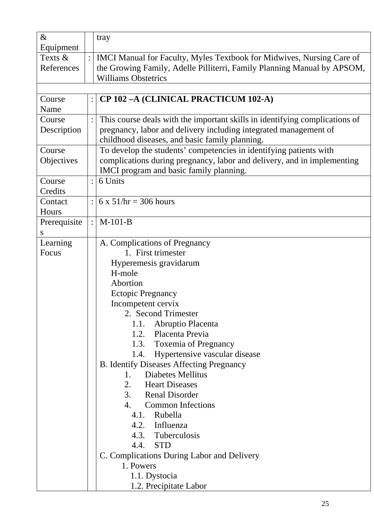| $\&$           |                | tray                                                                        |
|----------------|----------------|-----------------------------------------------------------------------------|
| Equipment      |                |                                                                             |
| Texts $&$      |                | IMCI Manual for Faculty, Myles Textbook for Midwives, Nursing Care of       |
| References     |                | the Growing Family, Adelle Pilliterri, Family Planning Manual by APSOM,     |
|                |                | <b>Williams Obstetrics</b>                                                  |
|                |                |                                                                             |
| Course<br>Name | $\ddot{\cdot}$ | CP 102-A (CLINICAL PRACTICUM 102-A)                                         |
| Course         | $\ddot{\cdot}$ | This course deals with the important skills in identifying complications of |
| Description    |                | pregnancy, labor and delivery including integrated management of            |
|                |                | childhood diseases, and basic family planning.                              |
| Course         |                | To develop the students' competencies in identifying patients with          |
| Objectives     |                | complications during pregnancy, labor and delivery, and in implementing     |
|                |                | IMCI program and basic family planning.                                     |
| Course         | $\ddot{\cdot}$ | 6 Units                                                                     |
| Credits        |                |                                                                             |
| Contact        |                | 6 x $51/hr = 306 hours$                                                     |
| Hours          |                |                                                                             |
| Prerequisite   | $\ddot{\cdot}$ | $M-101-B$                                                                   |
| S              |                |                                                                             |
| Learning       |                | A. Complications of Pregnancy                                               |
| Focus          |                | 1. First trimester                                                          |
|                |                | Hyperemesis gravidarum                                                      |
|                |                | H-mole                                                                      |
|                |                | Abortion                                                                    |
|                |                | <b>Ectopic Pregnancy</b>                                                    |
|                |                | Incompetent cervix                                                          |
|                |                | 2. Second Trimester                                                         |
|                |                | Abruptio Placenta<br>1.1.                                                   |
|                |                | Placenta Previa<br>1.2.                                                     |
|                |                | 1.3. Toxemia of Pregnancy                                                   |
|                |                | 1.4. Hypertensive vascular disease                                          |
|                |                | <b>B.</b> Identify Diseases Affecting Pregnancy                             |
|                |                | <b>Diabetes Mellitus</b><br>1.                                              |
|                |                | 2. Heart Diseases                                                           |
|                |                | <b>Renal Disorder</b><br>3.                                                 |
|                |                | 4.<br><b>Common Infections</b>                                              |
|                |                | Rubella<br>4.1.                                                             |
|                |                | 4.2. Influenza                                                              |
|                |                | 4.3. Tuberculosis                                                           |
|                |                | 4.4. STD                                                                    |
|                |                | C. Complications During Labor and Delivery                                  |
|                |                | 1. Powers                                                                   |
|                |                | 1.1. Dystocia                                                               |
|                |                | 1.2. Precipitate Labor                                                      |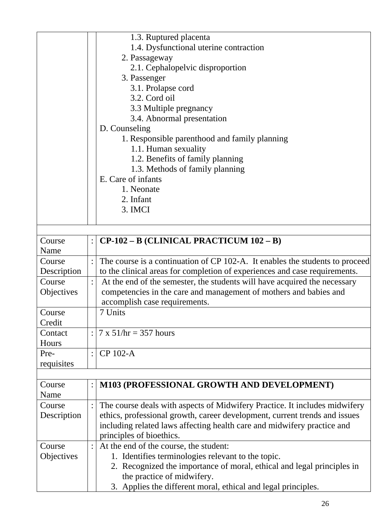| The course is a continuation of CP 102-A. It enables the students to proceed |
|------------------------------------------------------------------------------|
| to the clinical areas for completion of experiences and case requirements.   |
| At the end of the semester, the students will have acquired the necessary    |
| competencies in the care and management of mothers and babies and            |
|                                                                              |
|                                                                              |
|                                                                              |
|                                                                              |
|                                                                              |
|                                                                              |
|                                                                              |
|                                                                              |
|                                                                              |
|                                                                              |
| The course deals with aspects of Midwifery Practice. It includes midwifery   |
| ethics, professional growth, career development, current trends and issues   |
| including related laws affecting health care and midwifery practice and      |
|                                                                              |
|                                                                              |
|                                                                              |
| 2. Recognized the importance of moral, ethical and legal principles in       |
|                                                                              |
|                                                                              |
|                                                                              |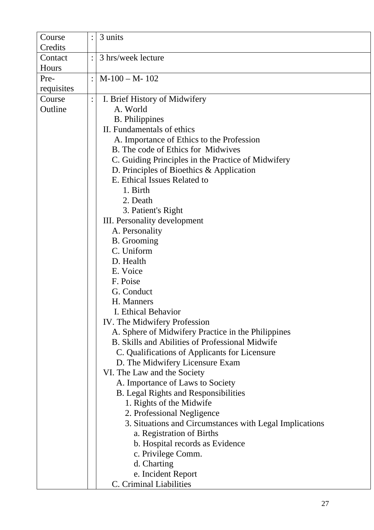| Course     |                | 3 units                                                 |
|------------|----------------|---------------------------------------------------------|
| Credits    |                |                                                         |
| Contact    | $\ddot{\cdot}$ | 3 hrs/week lecture                                      |
| Hours      |                |                                                         |
| Pre-       | $\ddot{\cdot}$ | $M-100-M-102$                                           |
| requisites |                |                                                         |
| Course     | $\ddot{\cdot}$ | I. Brief History of Midwifery                           |
| Outline    |                | A. World                                                |
|            |                | <b>B.</b> Philippines                                   |
|            |                | II. Fundamentals of ethics                              |
|            |                | A. Importance of Ethics to the Profession               |
|            |                | B. The code of Ethics for Midwives                      |
|            |                | C. Guiding Principles in the Practice of Midwifery      |
|            |                | D. Principles of Bioethics & Application                |
|            |                | E. Ethical Issues Related to                            |
|            |                | 1. Birth                                                |
|            |                | 2. Death                                                |
|            |                | 3. Patient's Right                                      |
|            |                | III. Personality development                            |
|            |                | A. Personality                                          |
|            |                | <b>B.</b> Grooming                                      |
|            |                | C. Uniform                                              |
|            |                | D. Health                                               |
|            |                | E. Voice                                                |
|            |                | F. Poise                                                |
|            |                | G. Conduct                                              |
|            |                | H. Manners                                              |
|            |                | I. Ethical Behavior                                     |
|            |                | IV. The Midwifery Profession                            |
|            |                | A. Sphere of Midwifery Practice in the Philippines      |
|            |                | B. Skills and Abilities of Professional Midwife         |
|            |                | C. Qualifications of Applicants for Licensure           |
|            |                | D. The Midwifery Licensure Exam                         |
|            |                | VI. The Law and the Society                             |
|            |                | A. Importance of Laws to Society                        |
|            |                | <b>B.</b> Legal Rights and Responsibilities             |
|            |                | 1. Rights of the Midwife                                |
|            |                | 2. Professional Negligence                              |
|            |                | 3. Situations and Circumstances with Legal Implications |
|            |                | a. Registration of Births                               |
|            |                | b. Hospital records as Evidence                         |
|            |                | c. Privilege Comm.                                      |
|            |                | d. Charting                                             |
|            |                | e. Incident Report                                      |
|            |                | C. Criminal Liabilities                                 |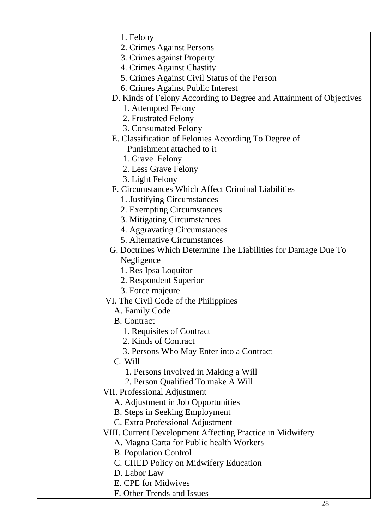| 1. Felony                                                           |
|---------------------------------------------------------------------|
| 2. Crimes Against Persons                                           |
| 3. Crimes against Property                                          |
| 4. Crimes Against Chastity                                          |
| 5. Crimes Against Civil Status of the Person                        |
| 6. Crimes Against Public Interest                                   |
| D. Kinds of Felony According to Degree and Attainment of Objectives |
| 1. Attempted Felony                                                 |
| 2. Frustrated Felony                                                |
| 3. Consumated Felony                                                |
| E. Classification of Felonies According To Degree of                |
| Punishment attached to it                                           |
| 1. Grave Felony                                                     |
| 2. Less Grave Felony                                                |
| 3. Light Felony                                                     |
| F. Circumstances Which Affect Criminal Liabilities                  |
| 1. Justifying Circumstances                                         |
| 2. Exempting Circumstances                                          |
| 3. Mitigating Circumstances                                         |
| 4. Aggravating Circumstances                                        |
| 5. Alternative Circumstances                                        |
| G. Doctrines Which Determine The Liabilities for Damage Due To      |
| Negligence                                                          |
| 1. Res Ipsa Loquitor                                                |
| 2. Respondent Superior                                              |
| 3. Force majeure                                                    |
| VI. The Civil Code of the Philippines                               |
| A. Family Code                                                      |
| <b>B.</b> Contract                                                  |
| 1. Requisites of Contract                                           |
| 2. Kinds of Contract                                                |
| 3. Persons Who May Enter into a Contract                            |
| C. Will                                                             |
| 1. Persons Involved in Making a Will                                |
| 2. Person Qualified To make A Will                                  |
| <b>VII. Professional Adjustment</b>                                 |
| A. Adjustment in Job Opportunities                                  |
| <b>B.</b> Steps in Seeking Employment                               |
| C. Extra Professional Adjustment                                    |
| VIII. Current Development Affecting Practice in Midwifery           |
| A. Magna Carta for Public health Workers                            |
| <b>B.</b> Population Control                                        |
| C. CHED Policy on Midwifery Education                               |
| D. Labor Law                                                        |
| E. CPE for Midwives                                                 |
| F. Other Trends and Issues                                          |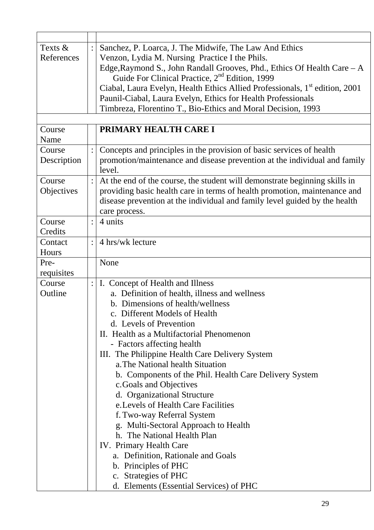| Texts &     | $\ddot{\cdot}$ | Sanchez, P. Loarca, J. The Midwife, The Law And Ethics                                  |
|-------------|----------------|-----------------------------------------------------------------------------------------|
| References  |                | Venzon, Lydia M. Nursing Practice I the Phils.                                          |
|             |                | Edge, Raymond S., John Randall Grooves, Phd., Ethics Of Health Care - A                 |
|             |                | Guide For Clinical Practice, 2 <sup>nd</sup> Edition, 1999                              |
|             |                | Ciabal, Laura Evelyn, Health Ethics Allied Professionals, 1 <sup>st</sup> edition, 2001 |
|             |                | Paunil-Ciabal, Laura Evelyn, Ethics for Health Professionals                            |
|             |                | Timbreza, Florentino T., Bio-Ethics and Moral Decision, 1993                            |
|             |                |                                                                                         |
| Course      |                | PRIMARY HEALTH CARE I                                                                   |
| Name        |                |                                                                                         |
| Course      | $\ddot{\cdot}$ | Concepts and principles in the provision of basic services of health                    |
| Description |                | promotion/maintenance and disease prevention at the individual and family               |
|             |                | level.                                                                                  |
| Course      | $\ddot{\cdot}$ | At the end of the course, the student will demonstrate beginning skills in              |
| Objectives  |                | providing basic health care in terms of health promotion, maintenance and               |
|             |                | disease prevention at the individual and family level guided by the health              |
|             |                | care process.                                                                           |
| Course      | $\ddot{\cdot}$ | 4 units                                                                                 |
| Credits     |                |                                                                                         |
| Contact     | $\ddot{\cdot}$ | 4 hrs/wk lecture                                                                        |
| Hours       |                |                                                                                         |
| Pre-        |                | None                                                                                    |
| requisites  |                |                                                                                         |
| Course      | $\ddot{\cdot}$ | I. Concept of Health and Illness                                                        |
| Outline     |                | a. Definition of health, illness and wellness                                           |
|             |                | b. Dimensions of health/wellness                                                        |
|             |                | c. Different Models of Health                                                           |
|             |                | d. Levels of Prevention                                                                 |
|             |                | II. Health as a Multifactorial Phenomenon                                               |
|             |                | - Factors affecting health                                                              |
|             |                | III. The Philippine Health Care Delivery System                                         |
|             |                | a. The National health Situation                                                        |
|             |                | b. Components of the Phil. Health Care Delivery System                                  |
|             |                | c.Goals and Objectives                                                                  |
|             |                | d. Organizational Structure                                                             |
|             |                | e. Levels of Health Care Facilities                                                     |
|             |                | f. Two-way Referral System                                                              |
|             |                | g. Multi-Sectoral Approach to Health                                                    |
|             |                | h. The National Health Plan                                                             |
|             |                | IV. Primary Health Care                                                                 |
|             |                | a. Definition, Rationale and Goals                                                      |
|             |                | b. Principles of PHC                                                                    |
|             |                | c. Strategies of PHC                                                                    |
|             |                | d. Elements (Essential Services) of PHC                                                 |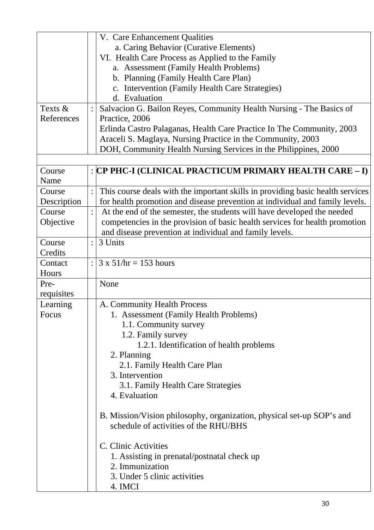|             | V. Care Enhancement Qualities                                                  |
|-------------|--------------------------------------------------------------------------------|
|             | a. Caring Behavior (Curative Elements)                                         |
|             | VI. Health Care Process as Applied to the Family                               |
|             | a. Assessment (Family Health Problems)                                         |
|             | b. Planning (Family Health Care Plan)                                          |
|             | c. Intervention (Family Health Care Strategies)                                |
|             | d. Evaluation                                                                  |
| Texts &     | Salvacion G. Bailon Reyes, Community Health Nursing - The Basics of            |
| References  | Practice, 2006                                                                 |
|             | Erlinda Castro Palaganas, Health Care Practice In The Community, 2003          |
|             | Araceli S. Maglaya, Nursing Practice in the Community, 2003                    |
|             | DOH, Community Health Nursing Services in the Philippines, 2000                |
|             |                                                                                |
| Course      | :  CP PHC-I (CLINICAL PRACTICUM PRIMARY HEALTH CARE – I)                       |
| Name        |                                                                                |
| Course      | This course deals with the important skills in providing basic health services |
| Description | for health promotion and disease prevention at individual and family levels.   |
| Course      | At the end of the semester, the students will have developed the needed        |
| Objective   | competencies in the provision of basic health services for health promotion    |
|             | and disease prevention at individual and family levels.                        |
| Course      | 3 Units                                                                        |
| Credits     |                                                                                |
| Contact     | $3 \times 51$ /hr = 153 hours<br>$\ddot{\cdot}$                                |
| Hours       |                                                                                |
| Pre-        | None                                                                           |
| requisites  |                                                                                |
| Learning    | A. Community Health Process                                                    |
| Focus       | 1. Assessment (Family Health Problems)                                         |
|             | 1.1. Community survey                                                          |
|             | 1.2. Family survey                                                             |
|             | 1.2.1. Identification of health problems                                       |
|             | 2. Planning                                                                    |
|             | 2.1. Family Health Care Plan                                                   |
|             | 3. Intervention                                                                |
|             | 3.1. Family Health Care Strategies                                             |
|             | 4. Evaluation                                                                  |
|             |                                                                                |
|             | B. Mission/Vision philosophy, organization, physical set-up SOP's and          |
|             | schedule of activities of the RHU/BHS                                          |
|             | C. Clinic Activities                                                           |
|             | 1. Assisting in prenatal/postnatal check up                                    |
|             | 2. Immunization                                                                |
|             | 3. Under 5 clinic activities                                                   |
|             | 4. IMCI                                                                        |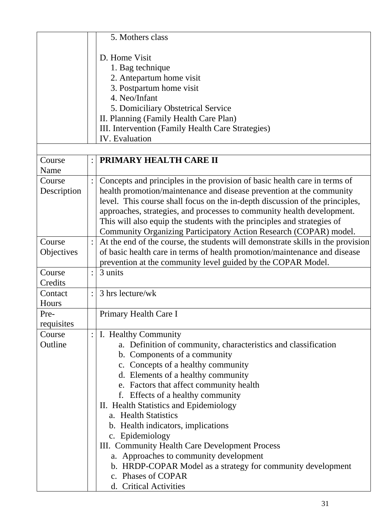|             |                | 5. Mothers class                                                                                                                                     |
|-------------|----------------|------------------------------------------------------------------------------------------------------------------------------------------------------|
|             |                |                                                                                                                                                      |
|             |                | D. Home Visit                                                                                                                                        |
|             |                | 1. Bag technique                                                                                                                                     |
|             |                | 2. Antepartum home visit                                                                                                                             |
|             |                | 3. Postpartum home visit                                                                                                                             |
|             |                | 4. Neo/Infant                                                                                                                                        |
|             |                | 5. Domiciliary Obstetrical Service                                                                                                                   |
|             |                | II. Planning (Family Health Care Plan)                                                                                                               |
|             |                | III. Intervention (Family Health Care Strategies)                                                                                                    |
|             |                | <b>IV.</b> Evaluation                                                                                                                                |
|             |                |                                                                                                                                                      |
| Course      |                | PRIMARY HEALTH CARE II                                                                                                                               |
| Name        |                |                                                                                                                                                      |
| Course      | $\ddot{\cdot}$ | Concepts and principles in the provision of basic health care in terms of                                                                            |
| Description |                | health promotion/maintenance and disease prevention at the community                                                                                 |
|             |                | level. This course shall focus on the in-depth discussion of the principles,                                                                         |
|             |                | approaches, strategies, and processes to community health development.                                                                               |
|             |                | This will also equip the students with the principles and strategies of                                                                              |
| Course      |                | Community Organizing Participatory Action Research (COPAR) model.<br>At the end of the course, the students will demonstrate skills in the provision |
|             |                | of basic health care in terms of health promotion/maintenance and disease                                                                            |
| Objectives  |                | prevention at the community level guided by the COPAR Model.                                                                                         |
| Course      | $\ddot{\cdot}$ | 3 units                                                                                                                                              |
| Credits     |                |                                                                                                                                                      |
| Contact     | $\ddot{\cdot}$ | 3 hrs lecture/wk                                                                                                                                     |
| Hours       |                |                                                                                                                                                      |
| Pre-        |                | Primary Health Care I                                                                                                                                |
| requisites  |                |                                                                                                                                                      |
| Course      |                | I. Healthy Community                                                                                                                                 |
| Outline     |                | a. Definition of community, characteristics and classification                                                                                       |
|             |                | b. Components of a community                                                                                                                         |
|             |                | c. Concepts of a healthy community                                                                                                                   |
|             |                | d. Elements of a healthy community                                                                                                                   |
|             |                | e. Factors that affect community health                                                                                                              |
|             |                | f. Effects of a healthy community                                                                                                                    |
|             |                | II. Health Statistics and Epidemiology                                                                                                               |
|             |                | a. Health Statistics                                                                                                                                 |
|             |                | b. Health indicators, implications                                                                                                                   |
|             |                | c. Epidemiology                                                                                                                                      |
|             |                | III. Community Health Care Development Process                                                                                                       |
|             |                | a. Approaches to community development                                                                                                               |
|             |                | b. HRDP-COPAR Model as a strategy for community development                                                                                          |
|             |                | c. Phases of COPAR                                                                                                                                   |
|             |                | d. Critical Activities                                                                                                                               |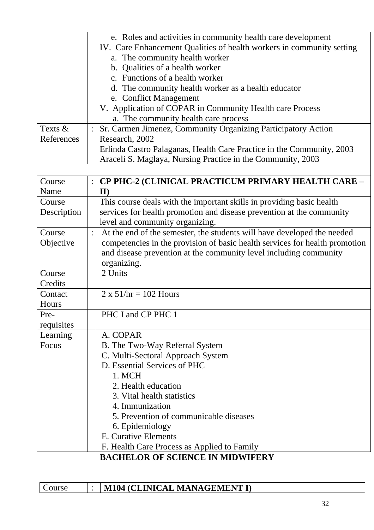|             | e. Roles and activities in community health care development                |
|-------------|-----------------------------------------------------------------------------|
|             | IV. Care Enhancement Qualities of health workers in community setting       |
|             | a. The community health worker                                              |
|             | b. Qualities of a health worker                                             |
|             | c. Functions of a health worker                                             |
|             | d. The community health worker as a health educator                         |
|             | e. Conflict Management                                                      |
|             | V. Application of COPAR in Community Health care Process                    |
|             | a. The community health care process                                        |
| Texts &     | Sr. Carmen Jimenez, Community Organizing Participatory Action               |
| References  | Research, 2002                                                              |
|             | Erlinda Castro Palaganas, Health Care Practice in the Community, 2003       |
|             | Araceli S. Maglaya, Nursing Practice in the Community, 2003                 |
|             |                                                                             |
| Course      | <b>CP PHC-2 (CLINICAL PRACTICUM PRIMARY HEALTH CARE -</b>                   |
| Name        | $\mathbf{II}$                                                               |
| Course      | This course deals with the important skills in providing basic health       |
| Description | services for health promotion and disease prevention at the community       |
|             | level and community organizing.                                             |
| Course      | At the end of the semester, the students will have developed the needed     |
| Objective   | competencies in the provision of basic health services for health promotion |
|             | and disease prevention at the community level including community           |
|             | organizing.                                                                 |
| Course      | 2 Units                                                                     |
| Credits     |                                                                             |
| Contact     | $2 \times 51/hr = 102$ Hours                                                |
| Hours       |                                                                             |
| Pre-        | PHC I and CP PHC 1                                                          |
| requisites  |                                                                             |
| Learning    | A. COPAR                                                                    |
| Focus       | B. The Two-Way Referral System                                              |
|             | C. Multi-Sectoral Approach System                                           |
|             | D. Essential Services of PHC                                                |
|             | 1. MCH                                                                      |
|             | 2. Health education                                                         |
|             | 3. Vital health statistics                                                  |
|             | 4. Immunization                                                             |
|             | 5. Prevention of communicable diseases                                      |
|             | 6. Epidemiology                                                             |
|             | E. Curative Elements                                                        |
|             | F. Health Care Process as Applied to Family                                 |
|             | <b>BACHELOR OF SCIENCE IN MIDWIFERY</b>                                     |

| Course | M104 (CLINICAL MANAGEMENT I) |
|--------|------------------------------|
|--------|------------------------------|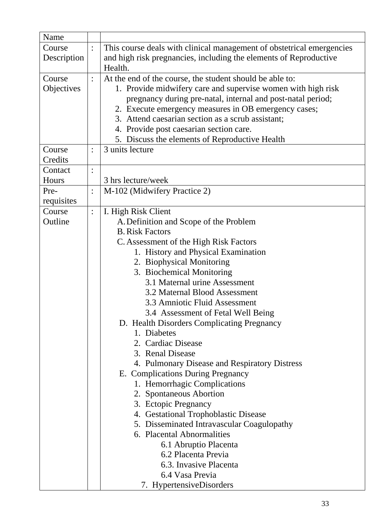| Name        |                |                                                                          |
|-------------|----------------|--------------------------------------------------------------------------|
| Course      | $\ddot{\cdot}$ | This course deals with clinical management of obstetrical emergencies    |
| Description |                | and high risk pregnancies, including the elements of Reproductive        |
|             |                | Health.                                                                  |
| Course      | $\ddot{\cdot}$ | At the end of the course, the student should be able to:                 |
| Objectives  |                | 1. Provide midwifery care and supervise women with high risk             |
|             |                | pregnancy during pre-natal, internal and post-natal period;              |
|             |                | 2. Execute emergency measures in OB emergency cases;                     |
|             |                | 3. Attend caesarian section as a scrub assistant;                        |
|             |                | 4. Provide post caesarian section care.                                  |
|             |                | 5. Discuss the elements of Reproductive Health                           |
| Course      | $\ddot{\cdot}$ | 3 units lecture                                                          |
| Credits     |                |                                                                          |
| Contact     | $\ddot{\cdot}$ |                                                                          |
| Hours       |                | 3 hrs lecture/week                                                       |
| Pre-        |                | M-102 (Midwifery Practice 2)                                             |
| requisites  |                |                                                                          |
| Course      | $\ddot{\cdot}$ | I. High Risk Client                                                      |
| Outline     |                | A. Definition and Scope of the Problem                                   |
|             |                | <b>B.</b> Risk Factors                                                   |
|             |                | C. Assessment of the High Risk Factors                                   |
|             |                | 1. History and Physical Examination                                      |
|             |                | 2. Biophysical Monitoring                                                |
|             |                | 3. Biochemical Monitoring                                                |
|             |                | 3.1 Maternal urine Assessment                                            |
|             |                | 3.2 Maternal Blood Assessment                                            |
|             |                | 3.3 Amniotic Fluid Assessment                                            |
|             |                | 3.4 Assessment of Fetal Well Being                                       |
|             |                | D. Health Disorders Complicating Pregnancy                               |
|             |                | 1. Diabetes                                                              |
|             |                | 2. Cardiac Disease                                                       |
|             |                | 3. Renal Disease                                                         |
|             |                | 4. Pulmonary Disease and Respiratory Distress                            |
|             |                | E. Complications During Pregnancy                                        |
|             |                | 1. Hemorrhagic Complications                                             |
|             |                | 2. Spontaneous Abortion                                                  |
|             |                | 3. Ectopic Pregnancy                                                     |
|             |                | 4. Gestational Trophoblastic Disease                                     |
|             |                | 5. Disseminated Intravascular Coagulopathy<br>6. Placental Abnormalities |
|             |                |                                                                          |
|             |                | 6.1 Abruptio Placenta<br>6.2 Placenta Previa                             |
|             |                | 6.3. Invasive Placenta                                                   |
|             |                | 6.4 Vasa Previa                                                          |
|             |                |                                                                          |
|             |                | 7. HypertensiveDisorders                                                 |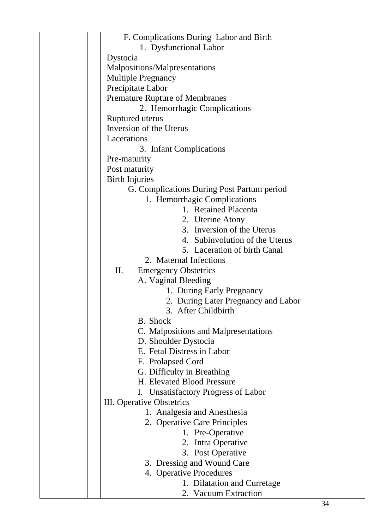| F. Complications During Labor and Birth    |
|--------------------------------------------|
| 1. Dysfunctional Labor                     |
| Dystocia                                   |
| Malpositions/Malpresentations              |
| <b>Multiple Pregnancy</b>                  |
| Precipitate Labor                          |
|                                            |
| <b>Premature Rupture of Membranes</b>      |
| 2. Hemorrhagic Complications               |
| Ruptured uterus                            |
| Inversion of the Uterus                    |
| Lacerations                                |
| 3. Infant Complications                    |
| Pre-maturity                               |
| Post maturity                              |
| <b>Birth Injuries</b>                      |
| G. Complications During Post Partum period |
| 1. Hemorrhagic Complications               |
| 1. Retained Placenta                       |
| 2. Uterine Atony                           |
| 3. Inversion of the Uterus                 |
| 4. Subinvolution of the Uterus             |
| 5. Laceration of birth Canal               |
| 2. Maternal Infections                     |
|                                            |
| II.<br><b>Emergency Obstetrics</b>         |
| A. Vaginal Bleeding                        |
| 1. During Early Pregnancy                  |
| 2. During Later Pregnancy and Labor        |
| 3. After Childbirth                        |
| B. Shock                                   |
| C. Malpositions and Malpresentations       |
| D. Shoulder Dystocia                       |
| E. Fetal Distress in Labor                 |
| F. Prolapsed Cord                          |
| G. Difficulty in Breathing                 |
| H. Elevated Blood Pressure                 |
| I. Unsatisfactory Progress of Labor        |
| III. Operative Obstetrics                  |
| 1. Analgesia and Anesthesia                |
| 2. Operative Care Principles               |
| 1. Pre-Operative                           |
| 2. Intra Operative                         |
|                                            |
| 3. Post Operative                          |
| 3. Dressing and Wound Care                 |
| 4. Operative Procedures                    |
| 1. Dilatation and Curretage                |
| 2. Vacuum Extraction                       |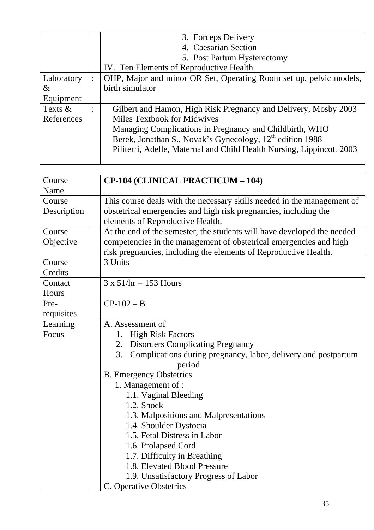| OHP, Major and minor OR Set, Operating Room set up, pelvic models,      |
|-------------------------------------------------------------------------|
|                                                                         |
|                                                                         |
| Gilbert and Hamon, High Risk Pregnancy and Delivery, Mosby 2003         |
|                                                                         |
| Managing Complications in Pregnancy and Childbirth, WHO                 |
|                                                                         |
|                                                                         |
| Piliterri, Adelle, Maternal and Child Health Nursing, Lippincott 2003   |
|                                                                         |
|                                                                         |
|                                                                         |
|                                                                         |
| This course deals with the necessary skills needed in the management of |
| obstetrical emergencies and high risk pregnancies, including the        |
|                                                                         |
|                                                                         |
| At the end of the semester, the students will have developed the needed |
| competencies in the management of obstetrical emergencies and high      |
| risk pregnancies, including the elements of Reproductive Health.        |
|                                                                         |
|                                                                         |
|                                                                         |
|                                                                         |
|                                                                         |
|                                                                         |
|                                                                         |
|                                                                         |
|                                                                         |
|                                                                         |
| Complications during pregnancy, labor, delivery and postpartum          |
|                                                                         |
|                                                                         |
|                                                                         |
|                                                                         |
|                                                                         |
|                                                                         |
|                                                                         |
|                                                                         |
|                                                                         |
|                                                                         |
|                                                                         |
|                                                                         |
|                                                                         |
|                                                                         |
|                                                                         |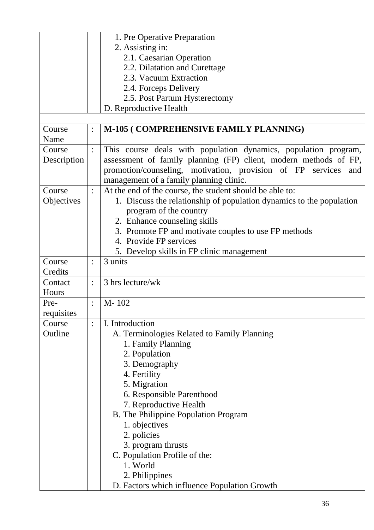|             |                | 1. Pre Operative Preparation                                         |
|-------------|----------------|----------------------------------------------------------------------|
|             |                | 2. Assisting in:                                                     |
|             |                | 2.1. Caesarian Operation                                             |
|             |                | 2.2. Dilatation and Curettage                                        |
|             |                | 2.3. Vacuum Extraction                                               |
|             |                | 2.4. Forceps Delivery                                                |
|             |                | 2.5. Post Partum Hysterectomy                                        |
|             |                | D. Reproductive Health                                               |
|             |                |                                                                      |
| Course      | $\ddot{\cdot}$ | M-105 (COMPREHENSIVE FAMILY PLANNING)                                |
| Name        |                |                                                                      |
| Course      | $\ddot{\cdot}$ | This course deals with population dynamics, population program,      |
| Description |                | assessment of family planning (FP) client, modern methods of FP,     |
|             |                | promotion/counseling, motivation, provision of FP services<br>and    |
|             |                | management of a family planning clinic.                              |
| Course      | $\ddot{\cdot}$ | At the end of the course, the student should be able to:             |
| Objectives  |                | 1. Discuss the relationship of population dynamics to the population |
|             |                |                                                                      |
|             |                | program of the country                                               |
|             |                | 2. Enhance counseling skills                                         |
|             |                | 3. Promote FP and motivate couples to use FP methods                 |
|             |                | 4. Provide FP services                                               |
|             |                | 5. Develop skills in FP clinic management                            |
| Course      |                | 3 units                                                              |
| Credits     |                |                                                                      |
| Contact     | $\ddot{\cdot}$ | 3 hrs lecture/wk                                                     |
| Hours       |                |                                                                      |
| Pre-        | $\ddot{\cdot}$ | M-102                                                                |
| requisites  |                |                                                                      |
| Course      | $\ddot{\cdot}$ | I. Introduction                                                      |
| Outline     |                | A. Terminologies Related to Family Planning                          |
|             |                | 1. Family Planning                                                   |
|             |                | 2. Population                                                        |
|             |                | 3. Demography                                                        |
|             |                | 4. Fertility                                                         |
|             |                | 5. Migration                                                         |
|             |                | 6. Responsible Parenthood                                            |
|             |                | 7. Reproductive Health                                               |
|             |                | B. The Philippine Population Program                                 |
|             |                | 1. objectives                                                        |
|             |                | 2. policies                                                          |
|             |                | 3. program thrusts                                                   |
|             |                | C. Population Profile of the:                                        |
|             |                |                                                                      |
|             |                | 1. World                                                             |
|             |                | 2. Philippines                                                       |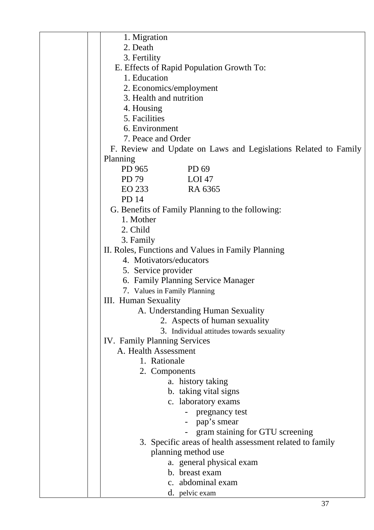| 1. Migration                                                    |
|-----------------------------------------------------------------|
| 2. Death                                                        |
| 3. Fertility                                                    |
| E. Effects of Rapid Population Growth To:                       |
| 1. Education                                                    |
| 2. Economics/employment                                         |
| 3. Health and nutrition                                         |
| 4. Housing                                                      |
| 5. Facilities                                                   |
| 6. Environment                                                  |
| 7. Peace and Order                                              |
| F. Review and Update on Laws and Legislations Related to Family |
| Planning                                                        |
| PD 965<br>PD 69                                                 |
| PD 79<br>$LOI$ 47                                               |
| RA 6365<br>EO 233                                               |
| <b>PD 14</b>                                                    |
| G. Benefits of Family Planning to the following:                |
| 1. Mother                                                       |
| 2. Child                                                        |
| 3. Family                                                       |
| II. Roles, Functions and Values in Family Planning              |
| 4. Motivators/educators                                         |
| 5. Service provider                                             |
| 6. Family Planning Service Manager                              |
| 7. Values in Family Planning                                    |
| <b>III.</b> Human Sexuality                                     |
| A. Understanding Human Sexuality                                |
| 2. Aspects of human sexuality                                   |
| 3. Individual attitudes towards sexuality                       |
| <b>IV.</b> Family Planning Services                             |
| A. Health Assessment                                            |
| 1. Rationale                                                    |
| 2. Components                                                   |
| a. history taking                                               |
| b. taking vital signs                                           |
| c. laboratory exams                                             |
| pregnancy test                                                  |
| - pap's smear                                                   |
| - gram staining for GTU screening                               |
| 3. Specific areas of health assessment related to family        |
|                                                                 |
| planning method use                                             |
| a. general physical exam<br>b. breast exam                      |
|                                                                 |
| c. abdominal exam                                               |
| d. pelvic exam                                                  |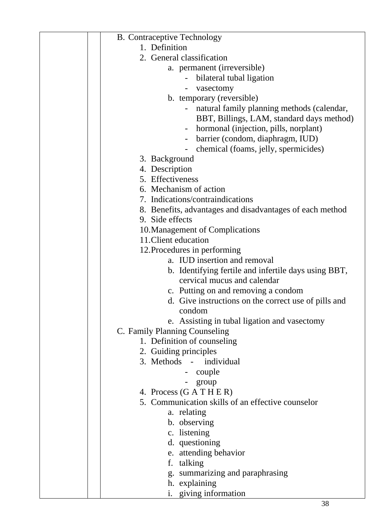| <b>B.</b> Contraceptive Technology                           |
|--------------------------------------------------------------|
| 1. Definition                                                |
| 2. General classification                                    |
| a. permanent (irreversible)                                  |
| bilateral tubal ligation                                     |
| vasectomy                                                    |
| b. temporary (reversible)                                    |
| natural family planning methods (calendar,                   |
| BBT, Billings, LAM, standard days method)                    |
| hormonal (injection, pills, norplant)                        |
| barrier (condom, diaphragm, IUD)                             |
| chemical (foams, jelly, spermicides)                         |
| 3. Background                                                |
| 4. Description                                               |
| 5. Effectiveness                                             |
| 6. Mechanism of action                                       |
| 7. Indications/contraindications                             |
| 8. Benefits, advantages and disadvantages of each method     |
| 9. Side effects                                              |
| 10. Management of Complications                              |
| 11. Client education                                         |
| 12. Procedures in performing                                 |
| a. IUD insertion and removal                                 |
| b. Identifying fertile and infertile days using BBT,         |
| cervical mucus and calendar                                  |
| c. Putting on and removing a condom                          |
| d. Give instructions on the correct use of pills and         |
| condom                                                       |
| e. Assisting in tubal ligation and vasectomy                 |
| C. Family Planning Counseling<br>1. Definition of counseling |
| 2. Guiding principles                                        |
| 3. Methods - individual                                      |
| couple                                                       |
| group                                                        |
| 4. Process $(GATHER)$                                        |
| 5. Communication skills of an effective counselor            |
| a. relating                                                  |
| b. observing                                                 |
| c. listening                                                 |
| d. questioning                                               |
| e. attending behavior                                        |
| f. talking                                                   |
| g. summarizing and paraphrasing                              |
| h. explaining                                                |
| i. giving information                                        |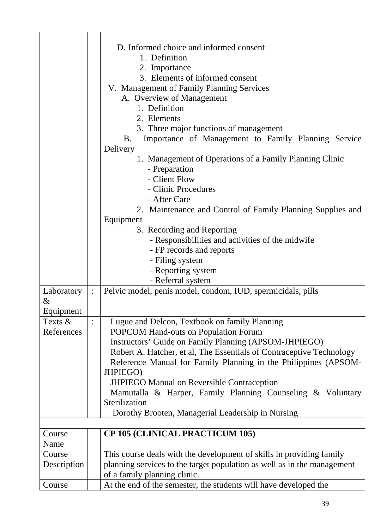|                              |                | D. Informed choice and informed consent<br>1. Definition<br>2. Importance<br>3. Elements of informed consent<br>V. Management of Family Planning Services<br>A. Overview of Management<br>1. Definition<br>2. Elements<br>3. Three major functions of management<br>Importance of Management to Family Planning Service<br>B.<br>Delivery<br>1. Management of Operations of a Family Planning Clinic<br>- Preparation<br>- Client Flow<br>- Clinic Procedures<br>- After Care<br>2. Maintenance and Control of Family Planning Supplies and<br>Equipment<br>3. Recording and Reporting<br>- Responsibilities and activities of the midwife<br>- FP records and reports<br>- Filing system<br>- Reporting system<br>- Referral system |
|------------------------------|----------------|--------------------------------------------------------------------------------------------------------------------------------------------------------------------------------------------------------------------------------------------------------------------------------------------------------------------------------------------------------------------------------------------------------------------------------------------------------------------------------------------------------------------------------------------------------------------------------------------------------------------------------------------------------------------------------------------------------------------------------------|
| Laboratory<br>&<br>Equipment | $\ddot{\cdot}$ | Pelvic model, penis model, condom, IUD, spermicidals, pills                                                                                                                                                                                                                                                                                                                                                                                                                                                                                                                                                                                                                                                                          |
| Texts $\&$<br>References     |                | Lugue and Delcon, Textbook on family Planning<br>POPCOM Hand-outs on Population Forum<br>Instructors' Guide on Family Planning (APSOM-JHPIEGO)<br>Robert A. Hatcher, et al, The Essentials of Contraceptive Technology<br>Reference Manual for Family Planning in the Philippines (APSOM-<br>JHPIEGO)<br><b>JHPIEGO Manual on Reversible Contraception</b><br>Mamutalla & Harper, Family Planning Counseling & Voluntary<br>Sterilization<br>Dorothy Brooten, Managerial Leadership in Nursing                                                                                                                                                                                                                                       |
|                              |                |                                                                                                                                                                                                                                                                                                                                                                                                                                                                                                                                                                                                                                                                                                                                      |
| Course                       |                | <b>CP 105 (CLINICAL PRACTICUM 105)</b>                                                                                                                                                                                                                                                                                                                                                                                                                                                                                                                                                                                                                                                                                               |
| Name                         |                |                                                                                                                                                                                                                                                                                                                                                                                                                                                                                                                                                                                                                                                                                                                                      |
| Course<br>Description        |                | This course deals with the development of skills in providing family<br>planning services to the target population as well as in the management<br>of a family planning clinic.                                                                                                                                                                                                                                                                                                                                                                                                                                                                                                                                                      |
| Course                       |                | At the end of the semester, the students will have developed the                                                                                                                                                                                                                                                                                                                                                                                                                                                                                                                                                                                                                                                                     |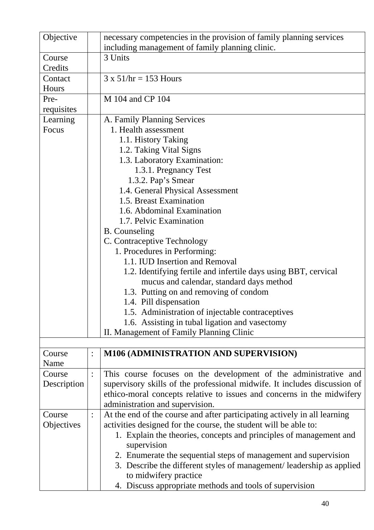| Objective   |                | necessary competencies in the provision of family planning services       |
|-------------|----------------|---------------------------------------------------------------------------|
|             |                | including management of family planning clinic.                           |
| Course      |                | 3 Units                                                                   |
| Credits     |                |                                                                           |
| Contact     |                | $3 \times 51$ /hr = 153 Hours                                             |
| Hours       |                |                                                                           |
| Pre-        |                | M 104 and CP 104                                                          |
| requisites  |                |                                                                           |
| Learning    |                | A. Family Planning Services                                               |
|             |                |                                                                           |
| Focus       |                | 1. Health assessment                                                      |
|             |                | 1.1. History Taking                                                       |
|             |                | 1.2. Taking Vital Signs                                                   |
|             |                | 1.3. Laboratory Examination:                                              |
|             |                | 1.3.1. Pregnancy Test                                                     |
|             |                | 1.3.2. Pap's Smear                                                        |
|             |                | 1.4. General Physical Assessment                                          |
|             |                | 1.5. Breast Examination                                                   |
|             |                | 1.6. Abdominal Examination                                                |
|             |                | 1.7. Pelvic Examination                                                   |
|             |                | <b>B.</b> Counseling                                                      |
|             |                |                                                                           |
|             |                | C. Contraceptive Technology                                               |
|             |                | 1. Procedures in Performing:                                              |
|             |                | 1.1. IUD Insertion and Removal                                            |
|             |                | 1.2. Identifying fertile and infertile days using BBT, cervical           |
|             |                | mucus and calendar, standard days method                                  |
|             |                | 1.3. Putting on and removing of condom                                    |
|             |                | 1.4. Pill dispensation                                                    |
|             |                | 1.5. Administration of injectable contraceptives                          |
|             |                | 1.6. Assisting in tubal ligation and vasectomy                            |
|             |                | II. Management of Family Planning Clinic                                  |
|             |                |                                                                           |
|             |                |                                                                           |
| Course      |                | <b>M106 (ADMINISTRATION AND SUPERVISION)</b>                              |
| Name        |                |                                                                           |
| Course      | $\ddot{\cdot}$ | This course focuses on the development of the administrative and          |
| Description |                | supervisory skills of the professional midwife. It includes discussion of |
|             |                | ethico-moral concepts relative to issues and concerns in the midwifery    |
|             |                | administration and supervision.                                           |
| Course      |                | At the end of the course and after participating actively in all learning |
| Objectives  |                | activities designed for the course, the student will be able to:          |
|             |                | 1. Explain the theories, concepts and principles of management and        |
|             |                | supervision                                                               |
|             |                | 2. Enumerate the sequential steps of management and supervision           |
|             |                |                                                                           |
|             |                | 3. Describe the different styles of management/leadership as applied      |
|             |                | to midwifery practice                                                     |
|             |                | 4. Discuss appropriate methods and tools of supervision                   |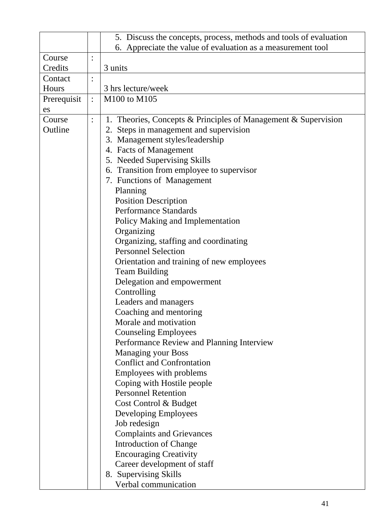|             |                | 5. Discuss the concepts, process, methods and tools of evaluation |
|-------------|----------------|-------------------------------------------------------------------|
|             |                | 6. Appreciate the value of evaluation as a measurement tool       |
| Course      | $\ddot{\cdot}$ |                                                                   |
| Credits     |                | 3 units                                                           |
| Contact     | $\ddot{\cdot}$ |                                                                   |
| Hours       |                | 3 hrs lecture/week                                                |
| Prerequisit | $\ddot{\cdot}$ | M100 to M105                                                      |
| es          |                |                                                                   |
| Course      |                | 1. Theories, Concepts & Principles of Management & Supervision    |
| Outline     |                | 2. Steps in management and supervision                            |
|             |                | 3. Management styles/leadership                                   |
|             |                | 4. Facts of Management                                            |
|             |                | 5. Needed Supervising Skills                                      |
|             |                | 6. Transition from employee to supervisor                         |
|             |                | 7. Functions of Management                                        |
|             |                | Planning                                                          |
|             |                | <b>Position Description</b>                                       |
|             |                | <b>Performance Standards</b>                                      |
|             |                | Policy Making and Implementation                                  |
|             |                | Organizing                                                        |
|             |                | Organizing, staffing and coordinating                             |
|             |                | <b>Personnel Selection</b>                                        |
|             |                | Orientation and training of new employees                         |
|             |                | <b>Team Building</b>                                              |
|             |                | Delegation and empowerment                                        |
|             |                | Controlling                                                       |
|             |                | Leaders and managers                                              |
|             |                | Coaching and mentoring                                            |
|             |                | Morale and motivation                                             |
|             |                | <b>Counseling Employees</b>                                       |
|             |                | Performance Review and Planning Interview                         |
|             |                | <b>Managing your Boss</b>                                         |
|             |                | <b>Conflict and Confrontation</b>                                 |
|             |                | Employees with problems                                           |
|             |                | Coping with Hostile people                                        |
|             |                | <b>Personnel Retention</b>                                        |
|             |                | Cost Control & Budget                                             |
|             |                | Developing Employees                                              |
|             |                | Job redesign                                                      |
|             |                | <b>Complaints and Grievances</b>                                  |
|             |                | <b>Introduction of Change</b>                                     |
|             |                | <b>Encouraging Creativity</b>                                     |
|             |                | Career development of staff                                       |
|             |                | 8. Supervising Skills                                             |
|             |                | Verbal communication                                              |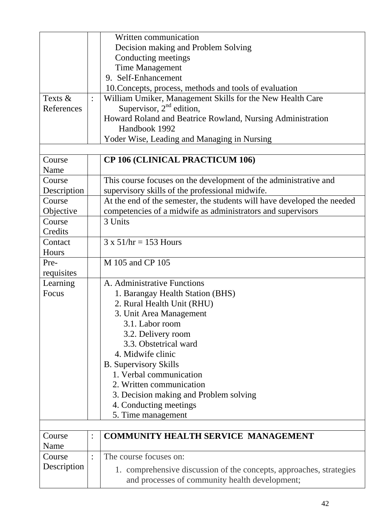|             |                | Written communication                                                   |
|-------------|----------------|-------------------------------------------------------------------------|
|             |                | Decision making and Problem Solving                                     |
|             |                | Conducting meetings                                                     |
|             |                | <b>Time Management</b>                                                  |
|             |                | 9. Self-Enhancement                                                     |
|             |                | 10. Concepts, process, methods and tools of evaluation                  |
| Texts &     |                | William Umiker, Management Skills for the New Health Care               |
| References  |                | Supervisor, $2nd$ edition,                                              |
|             |                | Howard Roland and Beatrice Rowland, Nursing Administration              |
|             |                | Handbook 1992                                                           |
|             |                | Yoder Wise, Leading and Managing in Nursing                             |
|             |                |                                                                         |
| Course      |                | <b>CP 106 (CLINICAL PRACTICUM 106)</b>                                  |
| Name        |                |                                                                         |
| Course      |                | This course focuses on the development of the administrative and        |
| Description |                | supervisory skills of the professional midwife.                         |
| Course      |                | At the end of the semester, the students will have developed the needed |
| Objective   |                | competencies of a midwife as administrators and supervisors             |
| Course      |                | 3 Units                                                                 |
| Credits     |                |                                                                         |
| Contact     |                | $3 \times 51$ /hr = 153 Hours                                           |
| Hours       |                |                                                                         |
| Pre-        |                | M 105 and CP 105                                                        |
| requisites  |                |                                                                         |
| Learning    |                | A. Administrative Functions                                             |
| Focus       |                | 1. Barangay Health Station (BHS)                                        |
|             |                | 2. Rural Health Unit (RHU)                                              |
|             |                | 3. Unit Area Management                                                 |
|             |                | 3.1. Labor room                                                         |
|             |                | 3.2. Delivery room                                                      |
|             |                | 3.3. Obstetrical ward                                                   |
|             |                | 4. Midwife clinic                                                       |
|             |                | <b>B.</b> Supervisory Skills                                            |
|             |                | 1. Verbal communication                                                 |
|             |                | 2. Written communication                                                |
|             |                | 3. Decision making and Problem solving                                  |
|             |                | 4. Conducting meetings                                                  |
|             |                | 5. Time management                                                      |
|             |                |                                                                         |
| Course      | $\ddot{\cdot}$ | <b>COMMUNITY HEALTH SERVICE MANAGEMENT</b>                              |
| Name        |                |                                                                         |
| Course      |                | The course focuses on:                                                  |
| Description |                |                                                                         |
|             |                | 1. comprehensive discussion of the concepts, approaches, strategies     |
|             |                | and processes of community health development;                          |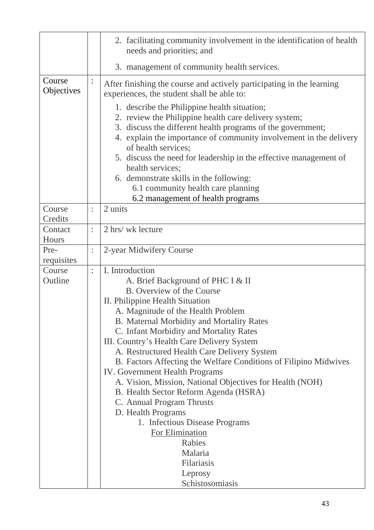|                      |                | 2. facilitating community involvement in the identification of health<br>needs and priorities; and                                                                                                                                                                                                                                                                                                                                                                                                                                                                 |
|----------------------|----------------|--------------------------------------------------------------------------------------------------------------------------------------------------------------------------------------------------------------------------------------------------------------------------------------------------------------------------------------------------------------------------------------------------------------------------------------------------------------------------------------------------------------------------------------------------------------------|
|                      |                | 3. management of community health services.                                                                                                                                                                                                                                                                                                                                                                                                                                                                                                                        |
| Course<br>Objectives |                | After finishing the course and actively participating in the learning<br>experiences, the student shall be able to:<br>1. describe the Philippine health situation;<br>2. review the Philippine health care delivery system;<br>3. discuss the different health programs of the government;<br>4. explain the importance of community involvement in the delivery<br>of health services;<br>5. discuss the need for leadership in the effective management of<br>health services;<br>6. demonstrate skills in the following:<br>6.1 community health care planning |
|                      |                | 6.2 management of health programs                                                                                                                                                                                                                                                                                                                                                                                                                                                                                                                                  |
| Course<br>Credits    |                | 2 units                                                                                                                                                                                                                                                                                                                                                                                                                                                                                                                                                            |
| Contact              | $\ddot{\cdot}$ | 2 hrs/ wk lecture                                                                                                                                                                                                                                                                                                                                                                                                                                                                                                                                                  |
| Hours                |                |                                                                                                                                                                                                                                                                                                                                                                                                                                                                                                                                                                    |
| Pre-                 | $\ddot{\cdot}$ | 2-year Midwifery Course                                                                                                                                                                                                                                                                                                                                                                                                                                                                                                                                            |
| requisites           |                |                                                                                                                                                                                                                                                                                                                                                                                                                                                                                                                                                                    |
| Course               | $\ddot{\cdot}$ | I. Introduction                                                                                                                                                                                                                                                                                                                                                                                                                                                                                                                                                    |
| Outline              |                | A. Brief Background of PHC I & II                                                                                                                                                                                                                                                                                                                                                                                                                                                                                                                                  |
|                      |                | B. Overview of the Course                                                                                                                                                                                                                                                                                                                                                                                                                                                                                                                                          |
|                      |                | II. Philippine Health Situation                                                                                                                                                                                                                                                                                                                                                                                                                                                                                                                                    |
|                      |                | A. Magnitude of the Health Problem                                                                                                                                                                                                                                                                                                                                                                                                                                                                                                                                 |
|                      |                | B. Maternal Morbidity and Mortality Rates                                                                                                                                                                                                                                                                                                                                                                                                                                                                                                                          |
|                      |                | C. Infant Morbidity and Mortality Rates                                                                                                                                                                                                                                                                                                                                                                                                                                                                                                                            |
|                      |                | III. Country's Health Care Delivery System                                                                                                                                                                                                                                                                                                                                                                                                                                                                                                                         |
|                      |                | A. Restructured Health Care Delivery System<br>B. Factors Affecting the Welfare Conditions of Filipino Midwives                                                                                                                                                                                                                                                                                                                                                                                                                                                    |
|                      |                | <b>IV.</b> Government Health Programs                                                                                                                                                                                                                                                                                                                                                                                                                                                                                                                              |
|                      |                | A. Vision, Mission, National Objectives for Health (NOH)                                                                                                                                                                                                                                                                                                                                                                                                                                                                                                           |
|                      |                | B. Health Sector Reform Agenda (HSRA)                                                                                                                                                                                                                                                                                                                                                                                                                                                                                                                              |
|                      |                | C. Annual Program Thrusts                                                                                                                                                                                                                                                                                                                                                                                                                                                                                                                                          |
|                      |                | D. Health Programs                                                                                                                                                                                                                                                                                                                                                                                                                                                                                                                                                 |
|                      |                | 1. Infectious Disease Programs                                                                                                                                                                                                                                                                                                                                                                                                                                                                                                                                     |
|                      |                | For Elimination                                                                                                                                                                                                                                                                                                                                                                                                                                                                                                                                                    |
|                      |                | Rabies                                                                                                                                                                                                                                                                                                                                                                                                                                                                                                                                                             |
|                      |                | Malaria                                                                                                                                                                                                                                                                                                                                                                                                                                                                                                                                                            |
|                      |                | Filariasis                                                                                                                                                                                                                                                                                                                                                                                                                                                                                                                                                         |
|                      |                | Leprosy                                                                                                                                                                                                                                                                                                                                                                                                                                                                                                                                                            |
|                      |                | Schistosomiasis                                                                                                                                                                                                                                                                                                                                                                                                                                                                                                                                                    |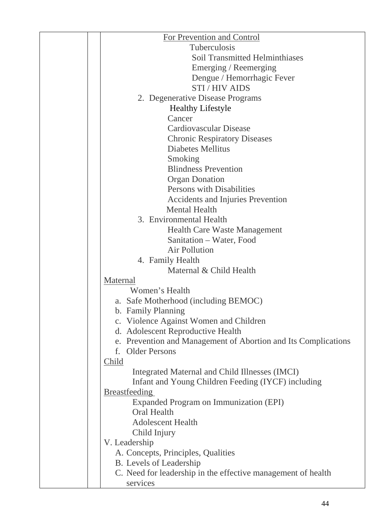| For Prevention and Control                                     |
|----------------------------------------------------------------|
| <b>Tuberculosis</b>                                            |
| <b>Soil Transmitted Helminthiases</b>                          |
| Emerging / Reemerging                                          |
| Dengue / Hemorrhagic Fever                                     |
| <b>STI/HIV AIDS</b>                                            |
| 2. Degenerative Disease Programs                               |
| <b>Healthy Lifestyle</b>                                       |
| Cancer                                                         |
| <b>Cardiovascular Disease</b>                                  |
| <b>Chronic Respiratory Diseases</b>                            |
| <b>Diabetes Mellitus</b>                                       |
| Smoking                                                        |
| <b>Blindness Prevention</b>                                    |
| <b>Organ Donation</b>                                          |
| Persons with Disabilities                                      |
| <b>Accidents and Injuries Prevention</b>                       |
| <b>Mental Health</b>                                           |
| 3. Environmental Health                                        |
| <b>Health Care Waste Management</b>                            |
| Sanitation - Water, Food                                       |
| Air Pollution                                                  |
| 4. Family Health                                               |
| Maternal & Child Health                                        |
| Maternal                                                       |
| Women's Health                                                 |
| a. Safe Motherhood (including BEMOC)                           |
| b. Family Planning                                             |
| c. Violence Against Women and Children                         |
| d. Adolescent Reproductive Health                              |
| e. Prevention and Management of Abortion and Its Complications |
| <b>Older Persons</b><br>f.                                     |
| Child                                                          |
| Integrated Maternal and Child Illnesses (IMCI)                 |
| Infant and Young Children Feeding (IYCF) including             |
| <b>Breastfeeding</b>                                           |
| Expanded Program on Immunization (EPI)                         |
| <b>Oral Health</b>                                             |
| <b>Adolescent Health</b>                                       |
| Child Injury                                                   |
| V. Leadership                                                  |
| A. Concepts, Principles, Qualities                             |
| B. Levels of Leadership                                        |
| C. Need for leadership in the effective management of health   |
| services                                                       |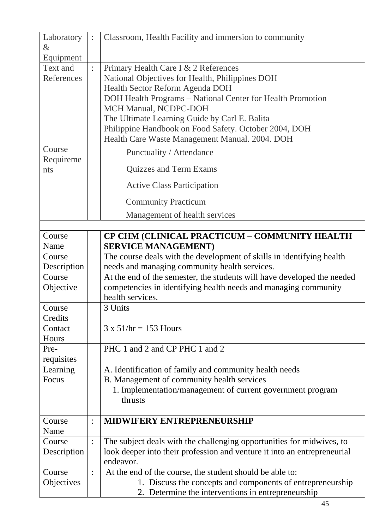| Laboratory<br>$\&$  |                | Classroom, Health Facility and immersion to community                                 |
|---------------------|----------------|---------------------------------------------------------------------------------------|
| Equipment           |                |                                                                                       |
| Text and            | $\ddot{\cdot}$ | Primary Health Care I & 2 References                                                  |
| References          |                | National Objectives for Health, Philippines DOH                                       |
|                     |                | Health Sector Reform Agenda DOH                                                       |
|                     |                | DOH Health Programs - National Center for Health Promotion                            |
|                     |                | MCH Manual, NCDPC-DOH                                                                 |
|                     |                | The Ultimate Learning Guide by Carl E. Balita                                         |
|                     |                | Philippine Handbook on Food Safety. October 2004, DOH                                 |
|                     |                | Health Care Waste Management Manual. 2004. DOH                                        |
| Course<br>Requireme |                | Punctuality / Attendance                                                              |
| nts                 |                | <b>Quizzes and Term Exams</b>                                                         |
|                     |                | <b>Active Class Participation</b>                                                     |
|                     |                | <b>Community Practicum</b>                                                            |
|                     |                | Management of health services                                                         |
|                     |                |                                                                                       |
| Course              |                | CP CHM (CLINICAL PRACTICUM - COMMUNITY HEALTH                                         |
| Name                |                | <b>SERVICE MANAGEMENT)</b>                                                            |
| Course              |                | The course deals with the development of skills in identifying health                 |
| Description         |                | needs and managing community health services.                                         |
| Course              |                | At the end of the semester, the students will have developed the needed               |
| Objective           |                | competencies in identifying health needs and managing community                       |
|                     |                | health services.                                                                      |
| Course              |                | 3 Units                                                                               |
| Credits             |                |                                                                                       |
| Contact             |                | $3 \times 51$ /hr = 153 Hours                                                         |
| Hours               |                |                                                                                       |
| Pre-                |                | PHC 1 and 2 and CP PHC 1 and 2                                                        |
| requisites          |                |                                                                                       |
| Learning            |                | A. Identification of family and community health needs                                |
| Focus               |                | B. Management of community health services                                            |
|                     |                | 1. Implementation/management of current government program                            |
|                     |                | thrusts                                                                               |
|                     |                |                                                                                       |
| Course              |                | MIDWIFERY ENTREPRENEURSHIP                                                            |
| Name                |                |                                                                                       |
| Course              | $\ddot{\cdot}$ | The subject deals with the challenging opportunities for midwives, to                 |
| Description         |                | look deeper into their profession and venture it into an entrepreneurial<br>endeavor. |
| Course              |                | At the end of the course, the student should be able to:                              |
| Objectives          |                | 1. Discuss the concepts and components of entrepreneurship                            |
|                     |                | 2. Determine the interventions in entrepreneurship                                    |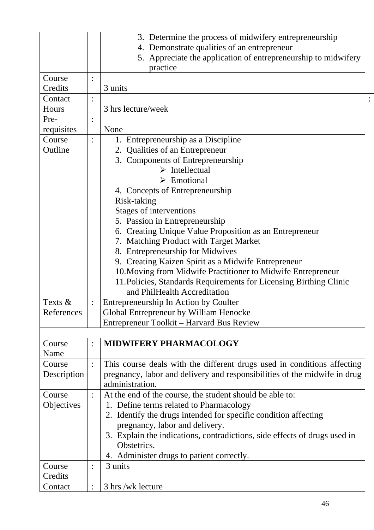|             |                | 3. Determine the process of midwifery entrepreneurship                    |  |
|-------------|----------------|---------------------------------------------------------------------------|--|
|             |                | 4. Demonstrate qualities of an entrepreneur                               |  |
|             |                | 5. Appreciate the application of entrepreneurship to midwifery            |  |
|             |                | practice                                                                  |  |
| Course      |                |                                                                           |  |
| Credits     |                | 3 units                                                                   |  |
| Contact     |                |                                                                           |  |
| Hours       |                | 3 hrs lecture/week                                                        |  |
| Pre-        |                |                                                                           |  |
| requisites  |                | None                                                                      |  |
| Course      |                | 1. Entrepreneurship as a Discipline                                       |  |
| Outline     |                | 2. Qualities of an Entrepreneur                                           |  |
|             |                | 3. Components of Entrepreneurship                                         |  |
|             |                | $\triangleright$ Intellectual                                             |  |
|             |                | $\triangleright$ Emotional                                                |  |
|             |                |                                                                           |  |
|             |                | 4. Concepts of Entrepreneurship                                           |  |
|             |                | Risk-taking                                                               |  |
|             |                | Stages of interventions                                                   |  |
|             |                | 5. Passion in Entrepreneurship                                            |  |
|             |                | 6. Creating Unique Value Proposition as an Entrepreneur                   |  |
|             |                | 7. Matching Product with Target Market                                    |  |
|             |                | 8. Entrepreneurship for Midwives                                          |  |
|             |                | 9. Creating Kaizen Spirit as a Midwife Entrepreneur                       |  |
|             |                | 10. Moving from Midwife Practitioner to Midwife Entrepreneur              |  |
|             |                | 11. Policies, Standards Requirements for Licensing Birthing Clinic        |  |
|             |                | and PhilHealth Accreditation                                              |  |
| Texts &     | $\ddot{\cdot}$ | Entrepreneurship In Action by Coulter                                     |  |
| References  |                | Global Entrepreneur by William Henocke                                    |  |
|             |                | Entrepreneur Toolkit – Harvard Bus Review                                 |  |
|             |                |                                                                           |  |
| Course      |                | <b>MIDWIFERY PHARMACOLOGY</b>                                             |  |
| Name        |                |                                                                           |  |
| Course      |                | This course deals with the different drugs used in conditions affecting   |  |
| Description |                | pregnancy, labor and delivery and responsibilities of the midwife in drug |  |
|             |                | administration.                                                           |  |
|             |                |                                                                           |  |
| Course      |                | At the end of the course, the student should be able to:                  |  |
| Objectives  |                | 1. Define terms related to Pharmacology                                   |  |
|             |                | 2. Identify the drugs intended for specific condition affecting           |  |
|             |                | pregnancy, labor and delivery.                                            |  |
|             |                | 3. Explain the indications, contradictions, side effects of drugs used in |  |
|             |                | Obstetrics.                                                               |  |
|             |                | 4. Administer drugs to patient correctly.                                 |  |
| Course      |                | 3 units                                                                   |  |
| Credits     |                |                                                                           |  |
| Contact     |                | 3 hrs /wk lecture                                                         |  |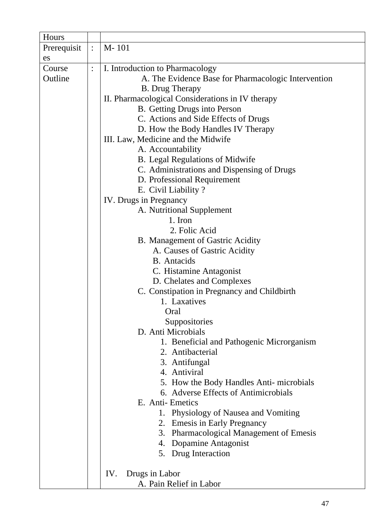| Hours       |                |                                                     |
|-------------|----------------|-----------------------------------------------------|
| Prerequisit | $\ddot{\cdot}$ | $M-101$                                             |
| es          |                |                                                     |
| Course      | $\ddot{\cdot}$ | I. Introduction to Pharmacology                     |
| Outline     |                | A. The Evidence Base for Pharmacologic Intervention |
|             |                | <b>B.</b> Drug Therapy                              |
|             |                | II. Pharmacological Considerations in IV therapy    |
|             |                | B. Getting Drugs into Person                        |
|             |                | C. Actions and Side Effects of Drugs                |
|             |                | D. How the Body Handles IV Therapy                  |
|             |                | III. Law, Medicine and the Midwife                  |
|             |                | A. Accountability                                   |
|             |                | B. Legal Regulations of Midwife                     |
|             |                | C. Administrations and Dispensing of Drugs          |
|             |                | D. Professional Requirement                         |
|             |                | E. Civil Liability?                                 |
|             |                | IV. Drugs in Pregnancy                              |
|             |                | A. Nutritional Supplement                           |
|             |                | 1. Iron                                             |
|             |                | 2. Folic Acid                                       |
|             |                | B. Management of Gastric Acidity                    |
|             |                | A. Causes of Gastric Acidity                        |
|             |                | <b>B.</b> Antacids                                  |
|             |                | C. Histamine Antagonist                             |
|             |                | D. Chelates and Complexes                           |
|             |                | C. Constipation in Pregnancy and Childbirth         |
|             |                | 1. Laxatives                                        |
|             |                | Oral                                                |
|             |                | Suppositories                                       |
|             |                | D. Anti Microbials                                  |
|             |                | 1. Beneficial and Pathogenic Microrganism           |
|             |                | 2. Antibacterial                                    |
|             |                | 3. Antifungal                                       |
|             |                | 4. Antiviral                                        |
|             |                | 5. How the Body Handles Anti-microbials             |
|             |                | 6. Adverse Effects of Antimicrobials                |
|             |                | E. Anti-Emetics                                     |
|             |                | 1. Physiology of Nausea and Vomiting                |
|             |                | 2. Emesis in Early Pregnancy                        |
|             |                | <b>Pharmacological Management of Emesis</b><br>3.   |
|             |                | 4. Dopamine Antagonist                              |
|             |                | 5. Drug Interaction                                 |
|             |                |                                                     |
|             |                | IV.<br>Drugs in Labor                               |
|             |                | A. Pain Relief in Labor                             |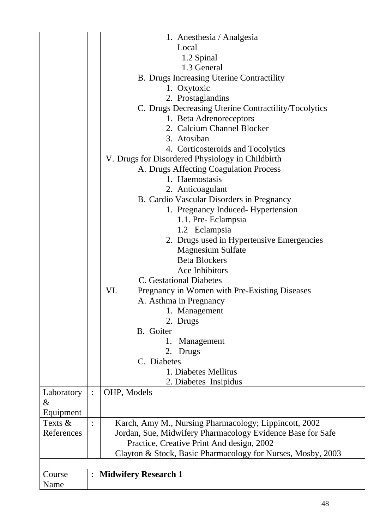|            |                | 1. Anesthesia / Analgesia                                   |
|------------|----------------|-------------------------------------------------------------|
|            |                | Local                                                       |
|            |                | 1.2 Spinal                                                  |
|            |                | 1.3 General                                                 |
|            |                |                                                             |
|            |                | B. Drugs Increasing Uterine Contractility                   |
|            |                | 1. Oxytoxic                                                 |
|            |                | 2. Prostaglandins                                           |
|            |                | C. Drugs Decreasing Uterine Contractility/Tocolytics        |
|            |                | 1. Beta Adrenoreceptors                                     |
|            |                | 2. Calcium Channel Blocker                                  |
|            |                | 3. Atosiban                                                 |
|            |                | 4. Corticosteroids and Tocolytics                           |
|            |                | V. Drugs for Disordered Physiology in Childbirth            |
|            |                | A. Drugs Affecting Coagulation Process                      |
|            |                | 1. Haemostasis                                              |
|            |                | 2. Anticoagulant                                            |
|            |                | B. Cardio Vascular Disorders in Pregnancy                   |
|            |                | 1. Pregnancy Induced- Hypertension                          |
|            |                | 1.1. Pre- Eclampsia                                         |
|            |                | 1.2 Eclampsia                                               |
|            |                | 2. Drugs used in Hypertensive Emergencies                   |
|            |                | <b>Magnesium Sulfate</b>                                    |
|            |                | <b>Beta Blockers</b>                                        |
|            |                | Ace Inhibitors                                              |
|            |                | <b>C.</b> Gestational Diabetes                              |
|            |                | VI.                                                         |
|            |                | Pregnancy in Women with Pre-Existing Diseases               |
|            |                | A. Asthma in Pregnancy                                      |
|            |                | 1. Management                                               |
|            |                | 2. Drugs                                                    |
|            |                | B. Goiter                                                   |
|            |                | 1.<br>Management                                            |
|            |                | Drugs<br>2.                                                 |
|            |                | C. Diabetes                                                 |
|            |                | 1. Diabetes Mellitus                                        |
|            |                | 2. Diabetes Insipidus                                       |
| Laboratory | $\ddot{\cdot}$ | OHP, Models                                                 |
| &          |                |                                                             |
| Equipment  |                |                                                             |
| Texts &    |                | Karch, Amy M., Nursing Pharmacology; Lippincott, 2002       |
| References |                | Jordan, Sue, Midwifery Pharmacology Evidence Base for Safe  |
|            |                | Practice, Creative Print And design, 2002                   |
|            |                | Clayton & Stock, Basic Pharmacology for Nurses, Mosby, 2003 |
|            |                |                                                             |
| Course     |                | <b>Midwifery Research 1</b>                                 |
| Name       |                |                                                             |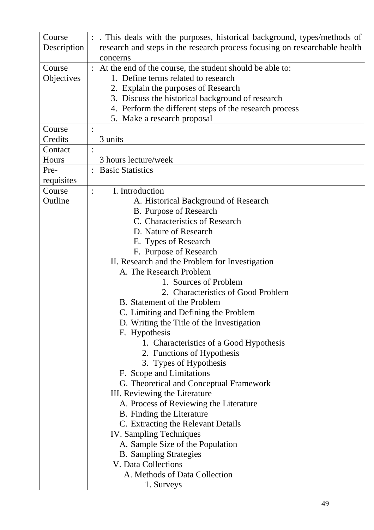| Course      | . This deals with the purposes, historical background, types/methods of    |  |  |
|-------------|----------------------------------------------------------------------------|--|--|
| Description | research and steps in the research process focusing on researchable health |  |  |
|             | concerns                                                                   |  |  |
| Course      | At the end of the course, the student should be able to:                   |  |  |
| Objectives  | 1. Define terms related to research                                        |  |  |
|             | 2. Explain the purposes of Research                                        |  |  |
|             | 3. Discuss the historical background of research                           |  |  |
|             | 4. Perform the different steps of the research process                     |  |  |
|             | 5. Make a research proposal                                                |  |  |
| Course      |                                                                            |  |  |
| Credits     | 3 units                                                                    |  |  |
| Contact     |                                                                            |  |  |
| Hours       | 3 hours lecture/week                                                       |  |  |
| Pre-        | <b>Basic Statistics</b>                                                    |  |  |
| requisites  |                                                                            |  |  |
| Course      | I. Introduction                                                            |  |  |
| Outline     | A. Historical Background of Research                                       |  |  |
|             | <b>B.</b> Purpose of Research                                              |  |  |
|             | C. Characteristics of Research                                             |  |  |
|             | D. Nature of Research                                                      |  |  |
|             | E. Types of Research                                                       |  |  |
|             | F. Purpose of Research                                                     |  |  |
|             | II. Research and the Problem for Investigation                             |  |  |
|             | A. The Research Problem                                                    |  |  |
|             | 1. Sources of Problem                                                      |  |  |
|             | 2. Characteristics of Good Problem                                         |  |  |
|             | B. Statement of the Problem                                                |  |  |
|             | C. Limiting and Defining the Problem                                       |  |  |
|             | D. Writing the Title of the Investigation                                  |  |  |
|             | E. Hypothesis                                                              |  |  |
|             | 1. Characteristics of a Good Hypothesis                                    |  |  |
|             | 2. Functions of Hypothesis                                                 |  |  |
|             | 3. Types of Hypothesis                                                     |  |  |
|             | F. Scope and Limitations                                                   |  |  |
|             | G. Theoretical and Conceptual Framework                                    |  |  |
|             | III. Reviewing the Literature                                              |  |  |
|             | A. Process of Reviewing the Literature                                     |  |  |
|             | B. Finding the Literature                                                  |  |  |
|             | C. Extracting the Relevant Details                                         |  |  |
|             | <b>IV.</b> Sampling Techniques                                             |  |  |
|             | A. Sample Size of the Population                                           |  |  |
|             | <b>B.</b> Sampling Strategies                                              |  |  |
|             | V. Data Collections                                                        |  |  |
|             | A. Methods of Data Collection                                              |  |  |
|             | 1. Surveys                                                                 |  |  |
|             |                                                                            |  |  |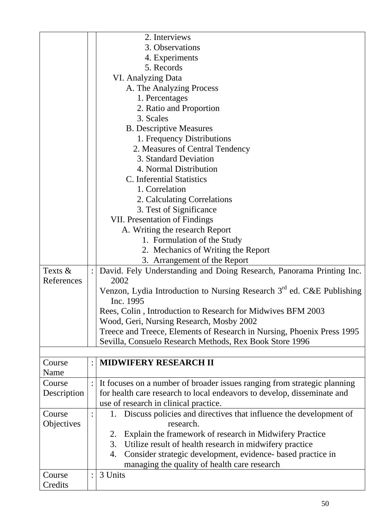|             | 2. Interviews                                                                                  |
|-------------|------------------------------------------------------------------------------------------------|
|             | 3. Observations                                                                                |
|             | 4. Experiments                                                                                 |
|             | 5. Records                                                                                     |
|             | <b>VI. Analyzing Data</b>                                                                      |
|             | A. The Analyzing Process                                                                       |
|             | 1. Percentages                                                                                 |
|             | 2. Ratio and Proportion                                                                        |
|             | 3. Scales                                                                                      |
|             | <b>B.</b> Descriptive Measures                                                                 |
|             | 1. Frequency Distributions                                                                     |
|             | 2. Measures of Central Tendency                                                                |
|             | 3. Standard Deviation                                                                          |
|             | 4. Normal Distribution                                                                         |
|             | C. Inferential Statistics                                                                      |
|             | 1. Correlation                                                                                 |
|             | 2. Calculating Correlations                                                                    |
|             | 3. Test of Significance                                                                        |
|             | <b>VII. Presentation of Findings</b>                                                           |
|             | A. Writing the research Report                                                                 |
|             | 1. Formulation of the Study                                                                    |
|             | 2. Mechanics of Writing the Report                                                             |
|             | 3. Arrangement of the Report                                                                   |
|             |                                                                                                |
| Texts $&$   | David. Fely Understanding and Doing Research, Panorama Printing Inc.                           |
| References  | 2002                                                                                           |
|             | Venzon, Lydia Introduction to Nursing Research 3 <sup>rd</sup> ed. C&E Publishing<br>Inc. 1995 |
|             | Rees, Colin, Introduction to Research for Midwives BFM 2003                                    |
|             | Wood, Geri, Nursing Research, Mosby 2002                                                       |
|             | Treece and Treece, Elements of Research in Nursing, Phoenix Press 1995                         |
|             | Sevilla, Consuelo Research Methods, Rex Book Store 1996                                        |
|             |                                                                                                |
| Course      | <b>MIDWIFERY RESEARCH II</b>                                                                   |
| Name        |                                                                                                |
| Course      | It focuses on a number of broader issues ranging from strategic planning                       |
| Description | for health care research to local endeavors to develop, disseminate and                        |
|             | use of research in clinical practice.                                                          |
| Course      |                                                                                                |
|             | 1. Discuss policies and directives that influence the development of                           |
| Objectives  | research.                                                                                      |
|             | Explain the framework of research in Midwifery Practice<br>2.                                  |
|             | 3.<br>Utilize result of health research in midwifery practice                                  |
|             | Consider strategic development, evidence- based practice in<br>4.                              |
|             | managing the quality of health care research                                                   |
| Course      | 3 Units                                                                                        |
| Credits     |                                                                                                |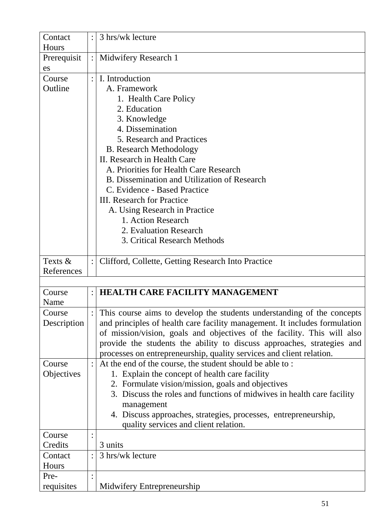| Contact<br>Hours |                | 3 hrs/wk lecture                                                           |
|------------------|----------------|----------------------------------------------------------------------------|
| Prerequisit      | $\ddot{\cdot}$ | Midwifery Research 1                                                       |
| es               |                |                                                                            |
| Course           |                | I. Introduction                                                            |
| Outline          |                | A. Framework                                                               |
|                  |                | 1. Health Care Policy                                                      |
|                  |                | 2. Education                                                               |
|                  |                | 3. Knowledge                                                               |
|                  |                | 4. Dissemination                                                           |
|                  |                | 5. Research and Practices                                                  |
|                  |                | <b>B.</b> Research Methodology                                             |
|                  |                | II. Research in Health Care                                                |
|                  |                | A. Priorities for Health Care Research                                     |
|                  |                | B. Dissemination and Utilization of Research                               |
|                  |                | C. Evidence - Based Practice                                               |
|                  |                | <b>III.</b> Research for Practice                                          |
|                  |                | A. Using Research in Practice                                              |
|                  |                | 1. Action Research                                                         |
|                  |                | 2. Evaluation Research                                                     |
|                  |                | 3. Critical Research Methods                                               |
|                  |                |                                                                            |
| Texts &          |                | Clifford, Collette, Getting Research Into Practice                         |
| References       |                |                                                                            |
|                  |                |                                                                            |
| Course           |                | <b>HEALTH CARE FACILITY MANAGEMENT</b>                                     |
| Name             |                |                                                                            |
| Course           |                | This course aims to develop the students understanding of the concepts     |
| Description      |                | and principles of health care facility management. It includes formulation |
|                  |                | of mission/vision, goals and objectives of the facility. This will also    |
|                  |                | provide the students the ability to discuss approaches, strategies and     |
|                  |                | processes on entrepreneurship, quality services and client relation.       |
| Course           |                | At the end of the course, the student should be able to:                   |
| Objectives       |                | 1. Explain the concept of health care facility                             |
|                  |                | 2. Formulate vision/mission, goals and objectives                          |
|                  |                | 3. Discuss the roles and functions of midwives in health care facility     |
|                  |                | management                                                                 |
|                  |                | 4. Discuss approaches, strategies, processes, entrepreneurship,            |
|                  |                | quality services and client relation.                                      |
| Course           |                |                                                                            |
| Credits          |                | 3 units                                                                    |
| Contact          |                | 3 hrs/wk lecture                                                           |
| Hours            |                |                                                                            |
| Pre-             |                |                                                                            |
| requisites       |                | Midwifery Entrepreneurship                                                 |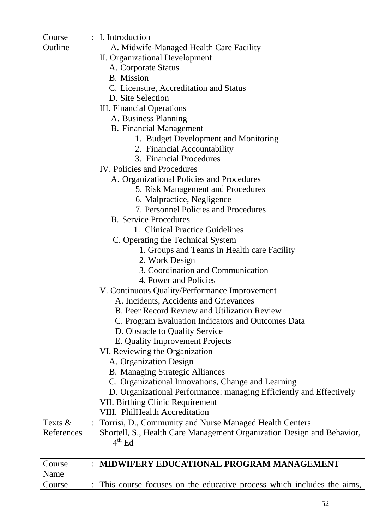| Course     | $\ddot{\cdot}$ | I. Introduction                                                           |  |  |
|------------|----------------|---------------------------------------------------------------------------|--|--|
| Outline    |                | A. Midwife-Managed Health Care Facility                                   |  |  |
|            |                | <b>II.</b> Organizational Development                                     |  |  |
|            |                | A. Corporate Status                                                       |  |  |
|            |                | <b>B.</b> Mission                                                         |  |  |
|            |                | C. Licensure, Accreditation and Status                                    |  |  |
|            |                | D. Site Selection                                                         |  |  |
|            |                | <b>III.</b> Financial Operations                                          |  |  |
|            |                | A. Business Planning                                                      |  |  |
|            |                | <b>B.</b> Financial Management                                            |  |  |
|            |                | 1. Budget Development and Monitoring                                      |  |  |
|            |                | 2. Financial Accountability                                               |  |  |
|            |                | 3. Financial Procedures                                                   |  |  |
|            |                | <b>IV.</b> Policies and Procedures                                        |  |  |
|            |                | A. Organizational Policies and Procedures                                 |  |  |
|            |                | 5. Risk Management and Procedures                                         |  |  |
|            |                | 6. Malpractice, Negligence                                                |  |  |
|            |                | 7. Personnel Policies and Procedures                                      |  |  |
|            |                | <b>B.</b> Service Procedures                                              |  |  |
|            |                | 1. Clinical Practice Guidelines                                           |  |  |
|            |                | C. Operating the Technical System                                         |  |  |
|            |                | 1. Groups and Teams in Health care Facility                               |  |  |
|            |                | 2. Work Design                                                            |  |  |
|            |                | 3. Coordination and Communication                                         |  |  |
|            |                | 4. Power and Policies                                                     |  |  |
|            |                | V. Continuous Quality/Performance Improvement                             |  |  |
|            |                | A. Incidents, Accidents and Grievances                                    |  |  |
|            |                | <b>B. Peer Record Review and Utilization Review</b>                       |  |  |
|            |                | C. Program Evaluation Indicators and Outcomes Data                        |  |  |
|            |                | D. Obstacle to Quality Service                                            |  |  |
|            |                | E. Quality Improvement Projects                                           |  |  |
|            |                | VI. Reviewing the Organization                                            |  |  |
|            |                | A. Organization Design                                                    |  |  |
|            |                | <b>B.</b> Managing Strategic Alliances                                    |  |  |
|            |                | C. Organizational Innovations, Change and Learning                        |  |  |
|            |                | D. Organizational Performance: managing Efficiently and Effectively       |  |  |
|            |                | <b>VII. Birthing Clinic Requirement</b><br>VIII. PhilHealth Accreditation |  |  |
| Texts &    |                | Torrisi, D., Community and Nurse Managed Health Centers                   |  |  |
| References |                | Shortell, S., Health Care Management Organization Design and Behavior,    |  |  |
|            |                | $4th$ Ed                                                                  |  |  |
|            |                |                                                                           |  |  |
| Course     |                | MIDWIFERY EDUCATIONAL PROGRAM MANAGEMENT                                  |  |  |
| Name       |                |                                                                           |  |  |
| Course     |                | This course focuses on the educative process which includes the aims,     |  |  |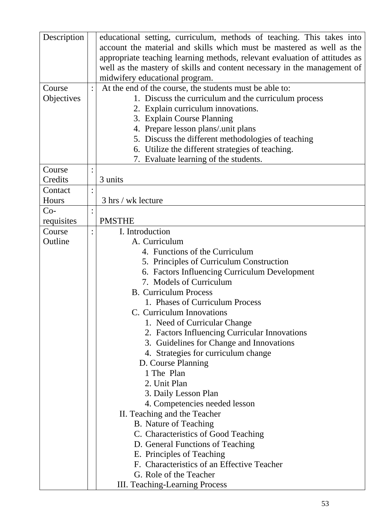| Description | educational setting, curriculum, methods of teaching. This takes into      |
|-------------|----------------------------------------------------------------------------|
|             | account the material and skills which must be mastered as well as the      |
|             | appropriate teaching learning methods, relevant evaluation of attitudes as |
|             | well as the mastery of skills and content necessary in the management of   |
|             | midwifery educational program.                                             |
| Course      | At the end of the course, the students must be able to:                    |
| Objectives  | 1. Discuss the curriculum and the curriculum process                       |
|             | 2. Explain curriculum innovations.                                         |
|             | 3. Explain Course Planning                                                 |
|             | 4. Prepare lesson plans/.unit plans                                        |
|             | 5. Discuss the different methodologies of teaching                         |
|             | 6. Utilize the different strategies of teaching.                           |
|             | 7. Evaluate learning of the students.                                      |
| Course      |                                                                            |
| Credits     | 3 units                                                                    |
| Contact     |                                                                            |
| Hours       | 3 hrs / wk lecture                                                         |
| $Co-$       |                                                                            |
| requisites  | <b>PMSTHE</b>                                                              |
| Course      | I. Introduction                                                            |
| Outline     | A. Curriculum                                                              |
|             | 4. Functions of the Curriculum                                             |
|             | 5. Principles of Curriculum Construction                                   |
|             | 6. Factors Influencing Curriculum Development                              |
|             | 7. Models of Curriculum                                                    |
|             | <b>B.</b> Curriculum Process                                               |
|             | 1. Phases of Curriculum Process                                            |
|             | C. Curriculum Innovations                                                  |
|             | 1. Need of Curricular Change                                               |
|             | 2. Factors Influencing Curricular Innovations                              |
|             | 3. Guidelines for Change and Innovations                                   |
|             | 4. Strategies for curriculum change                                        |
|             | D. Course Planning                                                         |
|             | 1 The Plan                                                                 |
|             | 2. Unit Plan                                                               |
|             | 3. Daily Lesson Plan                                                       |
|             | 4. Competencies needed lesson                                              |
|             | II. Teaching and the Teacher                                               |
|             | <b>B.</b> Nature of Teaching                                               |
|             | C. Characteristics of Good Teaching                                        |
|             | D. General Functions of Teaching                                           |
|             | E. Principles of Teaching                                                  |
|             | F. Characteristics of an Effective Teacher                                 |
|             | G. Role of the Teacher                                                     |
|             | III. Teaching-Learning Process                                             |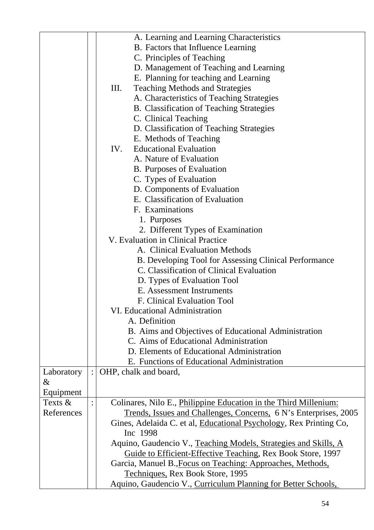|            |     | A. Learning and Learning Characteristics                                       |
|------------|-----|--------------------------------------------------------------------------------|
|            |     | B. Factors that Influence Learning                                             |
|            |     | C. Principles of Teaching                                                      |
|            |     | D. Management of Teaching and Learning                                         |
|            |     | E. Planning for teaching and Learning                                          |
|            | Ш.  | <b>Teaching Methods and Strategies</b>                                         |
|            |     |                                                                                |
|            |     | A. Characteristics of Teaching Strategies                                      |
|            |     | B. Classification of Teaching Strategies                                       |
|            |     | C. Clinical Teaching                                                           |
|            |     | D. Classification of Teaching Strategies                                       |
|            |     | E. Methods of Teaching                                                         |
|            | IV. | <b>Educational Evaluation</b>                                                  |
|            |     | A. Nature of Evaluation                                                        |
|            |     | <b>B.</b> Purposes of Evaluation                                               |
|            |     | C. Types of Evaluation                                                         |
|            |     | D. Components of Evaluation                                                    |
|            |     | E. Classification of Evaluation                                                |
|            |     | F. Examinations                                                                |
|            |     | 1. Purposes                                                                    |
|            |     | 2. Different Types of Examination                                              |
|            |     | V. Evaluation in Clinical Practice                                             |
|            |     | A. Clinical Evaluation Methods                                                 |
|            |     | B. Developing Tool for Assessing Clinical Performance                          |
|            |     | C. Classification of Clinical Evaluation                                       |
|            |     | D. Types of Evaluation Tool                                                    |
|            |     | E. Assessment Instruments                                                      |
|            |     | F. Clinical Evaluation Tool                                                    |
|            |     | VI. Educational Administration                                                 |
|            |     | A. Definition                                                                  |
|            |     | B. Aims and Objectives of Educational Administration                           |
|            |     | C. Aims of Educational Administration                                          |
|            |     | D. Elements of Educational Administration                                      |
|            |     | E. Functions of Educational Administration                                     |
| Laboratory |     | OHP, chalk and board,                                                          |
| &          |     |                                                                                |
| Equipment  |     |                                                                                |
| Texts $\&$ |     | Colinares, Nilo E., <i>Philippine Education in the Third Millenium:</i>        |
| References |     | Trends, Issues and Challenges, Concerns, 6 N's Enterprises, 2005               |
|            |     | Gines, Adelaida C. et al, Educational Psychology, Rex Printing Co,<br>Inc 1998 |
|            |     | Aquino, Gaudencio V., Teaching Models, Strategies and Skills, A                |
|            |     | Guide to Efficient-Effective Teaching, Rex Book Store, 1997                    |
|            |     | Garcia, Manuel B., Focus on Teaching: Approaches, Methods,                     |
|            |     | Techniques, Rex Book Store, 1995                                               |
|            |     | Aquino, Gaudencio V., Curriculum Planning for Better Schools,                  |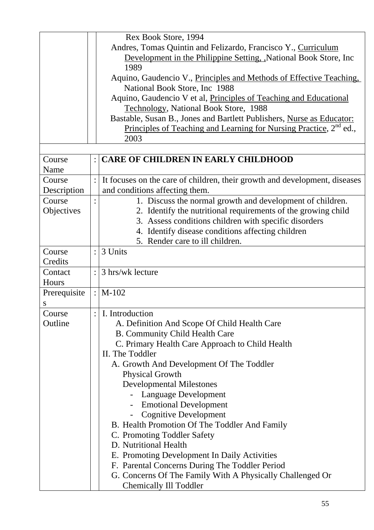|              |                | Rex Book Store, 1994                                                           |
|--------------|----------------|--------------------------------------------------------------------------------|
|              |                | Andres, Tomas Quintin and Felizardo, Francisco Y., Curriculum                  |
|              |                | Development in the Philippine Setting, National Book Store, Inc.               |
|              |                | 1989                                                                           |
|              |                | Aquino, Gaudencio V., Principles and Methods of Effective Teaching,            |
|              |                | National Book Store, Inc 1988                                                  |
|              |                | Aquino, Gaudencio V et al, <i>Principles of Teaching and Educational</i>       |
|              |                | Technology, National Book Store, 1988                                          |
|              |                | Bastable, Susan B., Jones and Bartlett Publishers, Nurse as Educator:          |
|              |                | Principles of Teaching and Learning for Nursing Practice, 2 <sup>nd</sup> ed., |
|              |                | 2003                                                                           |
|              |                |                                                                                |
| Course       | $\ddot{\cdot}$ | CARE OF CHILDREN IN EARLY CHILDHOOD                                            |
| Name         |                |                                                                                |
| Course       | $\ddot{\cdot}$ | It focuses on the care of children, their growth and development, diseases     |
| Description  |                | and conditions affecting them.                                                 |
| Course       |                | 1. Discuss the normal growth and development of children.                      |
| Objectives   |                | 2. Identify the nutritional requirements of the growing child                  |
|              |                | 3. Assess conditions children with specific disorders                          |
|              |                | 4. Identify disease conditions affecting children                              |
|              |                | 5. Render care to ill children.                                                |
| Course       |                | 3 Units                                                                        |
| Credits      |                |                                                                                |
| Contact      |                | 3 hrs/wk lecture                                                               |
| Hours        |                |                                                                                |
| Prerequisite | $\mathbf{L}$   | $M-102$                                                                        |
| S            |                |                                                                                |
| Course       |                | $:  $ I. Introduction                                                          |
| Outline      |                | A. Definition And Scope Of Child Health Care                                   |
|              |                | <b>B. Community Child Health Care</b>                                          |
|              |                | C. Primary Health Care Approach to Child Health<br>II. The Toddler             |
|              |                |                                                                                |
|              |                | A. Growth And Development Of The Toddler                                       |
|              |                | <b>Physical Growth</b>                                                         |
|              |                | <b>Developmental Milestones</b>                                                |
|              |                | Language Development                                                           |
|              |                | <b>Emotional Development</b>                                                   |
|              |                | <b>Cognitive Development</b>                                                   |
|              |                | B. Health Promotion Of The Toddler And Family                                  |
|              |                | C. Promoting Toddler Safety<br>D. Nutritional Health                           |
|              |                |                                                                                |
|              |                | E. Promoting Development In Daily Activities                                   |
|              |                | F. Parental Concerns During The Toddler Period                                 |
|              |                | G. Concerns Of The Family With A Physically Challenged Or                      |
|              |                | <b>Chemically Ill Toddler</b>                                                  |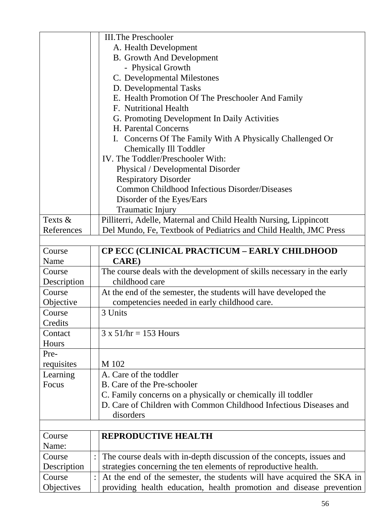|             | <b>III. The Preschooler</b>                                            |
|-------------|------------------------------------------------------------------------|
|             | A. Health Development                                                  |
|             | <b>B.</b> Growth And Development                                       |
|             | - Physical Growth                                                      |
|             | C. Developmental Milestones                                            |
|             | D. Developmental Tasks                                                 |
|             | E. Health Promotion Of The Preschooler And Family                      |
|             | F. Nutritional Health                                                  |
|             | G. Promoting Development In Daily Activities                           |
|             | H. Parental Concerns                                                   |
|             | I. Concerns Of The Family With A Physically Challenged Or              |
|             | <b>Chemically Ill Toddler</b>                                          |
|             | IV. The Toddler/Preschooler With:                                      |
|             | Physical / Developmental Disorder                                      |
|             | <b>Respiratory Disorder</b>                                            |
|             | Common Childhood Infectious Disorder/Diseases                          |
|             | Disorder of the Eyes/Ears                                              |
|             | <b>Traumatic Injury</b>                                                |
| Texts &     | Pilliterri, Adelle, Maternal and Child Health Nursing, Lippincott      |
| References  | Del Mundo, Fe, Textbook of Pediatrics and Child Health, JMC Press      |
|             |                                                                        |
| Course      | <b>CP ECC (CLINICAL PRACTICUM - EARLY CHILDHOOD</b>                    |
| Name        | <b>CARE</b> )                                                          |
| Course      | The course deals with the development of skills necessary in the early |
| Description | childhood care                                                         |
| Course      | At the end of the semester, the students will have developed the       |
| Objective   | competencies needed in early childhood care.                           |
| Course      | 3 Units                                                                |
| Credits     |                                                                        |
| Contact     | $3 \times 51$ /hr = 153 Hours                                          |
| Hours       |                                                                        |
| Pre-        |                                                                        |
| requisites  | M 102                                                                  |
| Learning    | A. Care of the toddler                                                 |
| Focus       | B. Care of the Pre-schooler                                            |
|             | C. Family concerns on a physically or chemically ill toddler           |
|             | D. Care of Children with Common Childhood Infectious Diseases and      |
|             | disorders                                                              |
|             |                                                                        |
| Course      | <b>REPRODUCTIVE HEALTH</b>                                             |
| Name:       |                                                                        |
| Course      | The course deals with in-depth discussion of the concepts, issues and  |
| Description | strategies concerning the ten elements of reproductive health.         |
| Course      | At the end of the semester, the students will have acquired the SKA in |
| Objectives  | providing health education, health promotion and disease prevention    |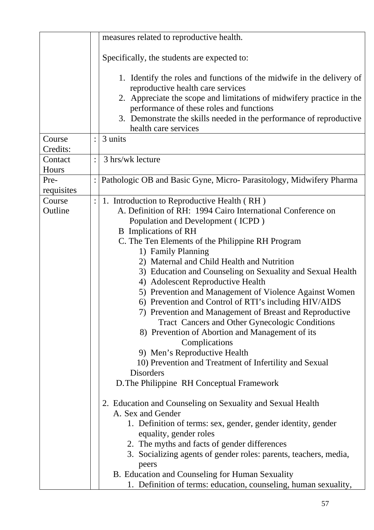|                    |                | measures related to reproductive health.                                                                                                                                                                                                                                                                                                                                                                                                                                                                                                                                                                                                                                                                                                                                                                                                                                                                                                                                                                                                                                                              |
|--------------------|----------------|-------------------------------------------------------------------------------------------------------------------------------------------------------------------------------------------------------------------------------------------------------------------------------------------------------------------------------------------------------------------------------------------------------------------------------------------------------------------------------------------------------------------------------------------------------------------------------------------------------------------------------------------------------------------------------------------------------------------------------------------------------------------------------------------------------------------------------------------------------------------------------------------------------------------------------------------------------------------------------------------------------------------------------------------------------------------------------------------------------|
|                    |                | Specifically, the students are expected to:                                                                                                                                                                                                                                                                                                                                                                                                                                                                                                                                                                                                                                                                                                                                                                                                                                                                                                                                                                                                                                                           |
|                    |                | 1. Identify the roles and functions of the midwife in the delivery of<br>reproductive health care services<br>2. Appreciate the scope and limitations of midwifery practice in the<br>performance of these roles and functions<br>3. Demonstrate the skills needed in the performance of reproductive<br>health care services                                                                                                                                                                                                                                                                                                                                                                                                                                                                                                                                                                                                                                                                                                                                                                         |
| Course<br>Credits: |                | 3 units                                                                                                                                                                                                                                                                                                                                                                                                                                                                                                                                                                                                                                                                                                                                                                                                                                                                                                                                                                                                                                                                                               |
| Contact<br>Hours   | $\ddot{\cdot}$ | 3 hrs/wk lecture                                                                                                                                                                                                                                                                                                                                                                                                                                                                                                                                                                                                                                                                                                                                                                                                                                                                                                                                                                                                                                                                                      |
| Pre-<br>requisites |                | Pathologic OB and Basic Gyne, Micro-Parasitology, Midwifery Pharma                                                                                                                                                                                                                                                                                                                                                                                                                                                                                                                                                                                                                                                                                                                                                                                                                                                                                                                                                                                                                                    |
| Course<br>Outline  |                | 1. Introduction to Reproductive Health (RH)<br>A. Definition of RH: 1994 Cairo International Conference on<br>Population and Development (ICPD)<br><b>B</b> Implications of RH<br>C. The Ten Elements of the Philippine RH Program<br>1) Family Planning<br>2) Maternal and Child Health and Nutrition<br>3) Education and Counseling on Sexuality and Sexual Health<br>4) Adolescent Reproductive Health<br>5) Prevention and Management of Violence Against Women<br>6) Prevention and Control of RTI's including HIV/AIDS<br>7) Prevention and Management of Breast and Reproductive<br>Tract Cancers and Other Gynecologic Conditions<br>8) Prevention of Abortion and Management of its<br>Complications<br>9) Men's Reproductive Health<br>10) Prevention and Treatment of Infertility and Sexual<br><b>Disorders</b><br>D. The Philippine RH Conceptual Framework<br>2. Education and Counseling on Sexuality and Sexual Health<br>A. Sex and Gender<br>1. Definition of terms: sex, gender, gender identity, gender<br>equality, gender roles<br>2. The myths and facts of gender differences |
|                    |                | 3. Socializing agents of gender roles: parents, teachers, media,<br>peers<br>B. Education and Counseling for Human Sexuality                                                                                                                                                                                                                                                                                                                                                                                                                                                                                                                                                                                                                                                                                                                                                                                                                                                                                                                                                                          |
|                    |                | 1. Definition of terms: education, counseling, human sexuality,                                                                                                                                                                                                                                                                                                                                                                                                                                                                                                                                                                                                                                                                                                                                                                                                                                                                                                                                                                                                                                       |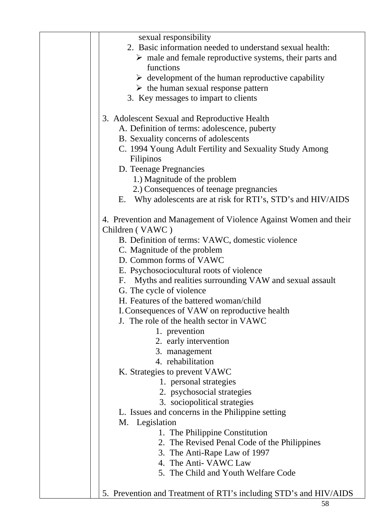| sexual responsibility                                                  |
|------------------------------------------------------------------------|
| 2. Basic information needed to understand sexual health:               |
| $\triangleright$ male and female reproductive systems, their parts and |
| functions                                                              |
| $\triangleright$ development of the human reproductive capability      |
| $\triangleright$ the human sexual response pattern                     |
| 3. Key messages to impart to clients                                   |
|                                                                        |
| 3. Adolescent Sexual and Reproductive Health                           |
| A. Definition of terms: adolescence, puberty                           |
| B. Sexuality concerns of adolescents                                   |
| C. 1994 Young Adult Fertility and Sexuality Study Among                |
| Filipinos                                                              |
| D. Teenage Pregnancies                                                 |
| 1.) Magnitude of the problem                                           |
| 2.) Consequences of teenage pregnancies                                |
| Why adolescents are at risk for RTI's, STD's and HIV/AIDS<br>Е.        |
|                                                                        |
| 4. Prevention and Management of Violence Against Women and their       |
| Children (VAWC)                                                        |
|                                                                        |
| B. Definition of terms: VAWC, domestic violence                        |
| C. Magnitude of the problem                                            |
| D. Common forms of VAWC                                                |
| E. Psychosociocultural roots of violence                               |
| F. Myths and realities surrounding VAW and sexual assault              |
| G. The cycle of violence                                               |
| H. Features of the battered woman/child                                |
| I. Consequences of VAW on reproductive health                          |
| J. The role of the health sector in VAWC                               |
| 1. prevention                                                          |
| 2. early intervention                                                  |
| 3. management                                                          |
| 4. rehabilitation                                                      |
| K. Strategies to prevent VAWC                                          |
| 1. personal strategies                                                 |
| 2. psychosocial strategies                                             |
| 3. sociopolitical strategies                                           |
| L. Issues and concerns in the Philippine setting                       |
| M. Legislation                                                         |
| 1. The Philippine Constitution                                         |
| 2. The Revised Penal Code of the Philippines                           |
| 3. The Anti-Rape Law of 1997                                           |
| 4. The Anti- VAWC Law                                                  |
| 5. The Child and Youth Welfare Code                                    |
|                                                                        |
| 5. Prevention and Treatment of RTI's including STD's and HIV/AIDS      |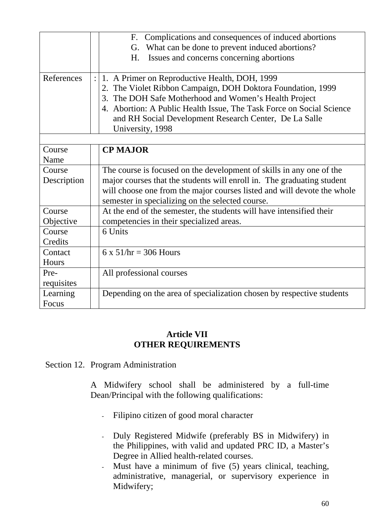|             | F. Complications and consequences of induced abortions<br>What can be done to prevent induced abortions?<br>G.<br>Issues and concerns concerning abortions<br>H. |
|-------------|------------------------------------------------------------------------------------------------------------------------------------------------------------------|
| References  | 1. A Primer on Reproductive Health, DOH, 1999<br>2. The Violet Ribbon Campaign, DOH Doktora Foundation, 1999                                                     |
|             | 3. The DOH Safe Motherhood and Women's Health Project                                                                                                            |
|             | 4. Abortion: A Public Health Issue, The Task Force on Social Science                                                                                             |
|             | and RH Social Development Research Center, De La Salle                                                                                                           |
|             | University, 1998                                                                                                                                                 |
|             |                                                                                                                                                                  |
| Course      | <b>CP MAJOR</b>                                                                                                                                                  |
| Name        |                                                                                                                                                                  |
| Course      | The course is focused on the development of skills in any one of the                                                                                             |
| Description | major courses that the students will enroll in. The graduating student                                                                                           |
|             | will choose one from the major courses listed and will devote the whole<br>semester in specializing on the selected course.                                      |
| Course      | At the end of the semester, the students will have intensified their                                                                                             |
| Objective   | competencies in their specialized areas.                                                                                                                         |
| Course      | 6 Units                                                                                                                                                          |
| Credits     |                                                                                                                                                                  |
| Contact     | $6 \times 51$ /hr = 306 Hours                                                                                                                                    |
| Hours       |                                                                                                                                                                  |
| Pre-        | All professional courses                                                                                                                                         |
| requisites  |                                                                                                                                                                  |
| Learning    | Depending on the area of specialization chosen by respective students                                                                                            |
| Focus       |                                                                                                                                                                  |

### **Article VII OTHER REQUIREMENTS**

Section 12. Program Administration

A Midwifery school shall be administered by a full-time Dean/Principal with the following qualifications:

- Filipino citizen of good moral character
- Duly Registered Midwife (preferably BS in Midwifery) in the Philippines, with valid and updated PRC ID, a Master's Degree in Allied health-related courses.
- Must have a minimum of five (5) years clinical, teaching, administrative, managerial, or supervisory experience in Midwifery;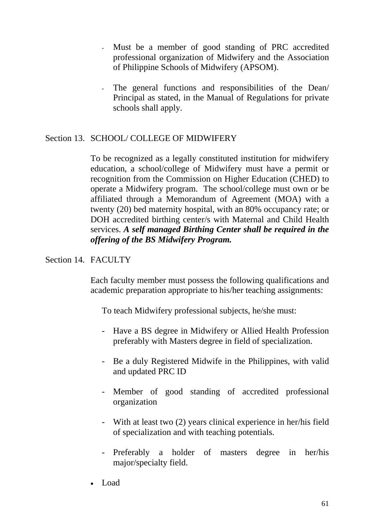- Must be a member of good standing of PRC accredited professional organization of Midwifery and the Association of Philippine Schools of Midwifery (APSOM).
- The general functions and responsibilities of the Dean/ Principal as stated, in the Manual of Regulations for private schools shall apply.

# Section 13. SCHOOL/ COLLEGE OF MIDWIFERY

To be recognized as a legally constituted institution for midwifery education, a school/college of Midwifery must have a permit or recognition from the Commission on Higher Education (CHED) to operate a Midwifery program. The school/college must own or be affiliated through a Memorandum of Agreement (MOA) with a twenty (20) bed maternity hospital, with an 80% occupancy rate; or DOH accredited birthing center/s with Maternal and Child Health services. *A self managed Birthing Center shall be required in the offering of the BS Midwifery Program.*

### Section 14. FACULTY

Each faculty member must possess the following qualifications and academic preparation appropriate to his/her teaching assignments:

To teach Midwifery professional subjects, he/she must:

- Have a BS degree in Midwifery or Allied Health Profession preferably with Masters degree in field of specialization.
- Be a duly Registered Midwife in the Philippines, with valid and updated PRC ID
- Member of good standing of accredited professional organization
- With at least two (2) years clinical experience in her/his field of specialization and with teaching potentials.
- Preferably a holder of masters degree in her/his major/specialty field.
- Load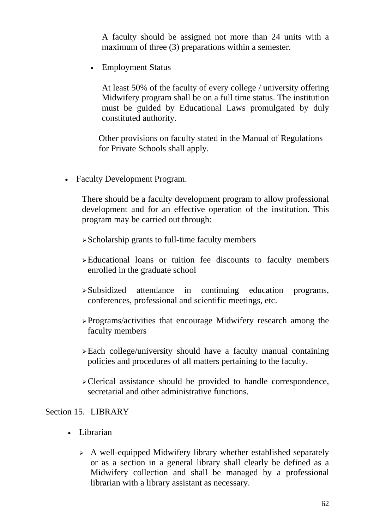A faculty should be assigned not more than 24 units with a maximum of three (3) preparations within a semester.

• Employment Status

At least 50% of the faculty of every college / university offering Midwifery program shall be on a full time status. The institution must be guided by Educational Laws promulgated by duly constituted authority.

 Other provisions on faculty stated in the Manual of Regulations for Private Schools shall apply.

• Faculty Development Program.

There should be a faculty development program to allow professional development and for an effective operation of the institution. This program may be carried out through:

 $\triangleright$  Scholarship grants to full-time faculty members

- ¾Educational loans or tuition fee discounts to faculty members enrolled in the graduate school
- ¾Subsidized attendance in continuing education programs, conferences, professional and scientific meetings, etc.
- ¾Programs/activities that encourage Midwifery research among the faculty members
- ¾Each college/university should have a faculty manual containing policies and procedures of all matters pertaining to the faculty.
- ¾Clerical assistance should be provided to handle correspondence, secretarial and other administrative functions.

#### Section 15. LIBRARY

- Librarian
	- $\triangleright$  A well-equipped Midwifery library whether established separately or as a section in a general library shall clearly be defined as a Midwifery collection and shall be managed by a professional librarian with a library assistant as necessary.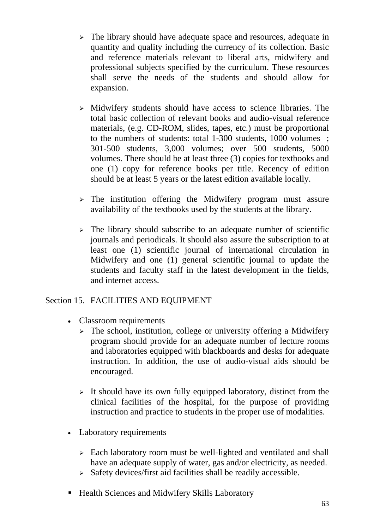- $\geq$  The library should have adequate space and resources, adequate in quantity and quality including the currency of its collection. Basic and reference materials relevant to liberal arts, midwifery and professional subjects specified by the curriculum. These resources shall serve the needs of the students and should allow for expansion.
- $\triangleright$  Midwifery students should have access to science libraries. The total basic collection of relevant books and audio-visual reference materials, (e.g. CD-ROM, slides, tapes, etc.) must be proportional to the numbers of students: total 1-300 students, 1000 volumes ; 301-500 students, 3,000 volumes; over 500 students, 5000 volumes. There should be at least three (3) copies for textbooks and one (1) copy for reference books per title. Recency of edition should be at least 5 years or the latest edition available locally.
- $\geq$  The institution offering the Midwifery program must assure availability of the textbooks used by the students at the library.
- $\geq$  The library should subscribe to an adequate number of scientific journals and periodicals. It should also assure the subscription to at least one (1) scientific journal of international circulation in Midwifery and one (1) general scientific journal to update the students and faculty staff in the latest development in the fields, and internet access.

### Section 15. FACILITIES AND EQUIPMENT

- Classroom requirements
	- $\geq$  The school, institution, college or university offering a Midwifery program should provide for an adequate number of lecture rooms and laboratories equipped with blackboards and desks for adequate instruction. In addition, the use of audio-visual aids should be encouraged.
	- $\triangleright$  It should have its own fully equipped laboratory, distinct from the clinical facilities of the hospital, for the purpose of providing instruction and practice to students in the proper use of modalities.
- Laboratory requirements
	- $\geq$  Each laboratory room must be well-lighted and ventilated and shall have an adequate supply of water, gas and/or electricity, as needed.
	- $\triangleright$  Safety devices/first aid facilities shall be readily accessible.
- Health Sciences and Midwifery Skills Laboratory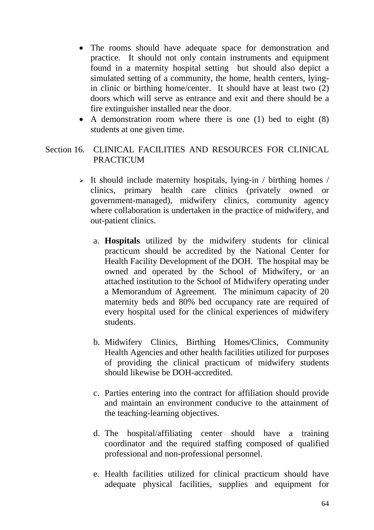- The rooms should have adequate space for demonstration and practice. It should not only contain instruments and equipment found in a maternity hospital setting but should also depict a simulated setting of a community, the home, health centers, lyingin clinic or birthing home/center. It should have at least two (2) doors which will serve as entrance and exit and there should be a fire extinguisher installed near the door.
- A demonstration room where there is one (1) bed to eight (8) students at one given time.

### Section 16. CLINICAL FACILITIES AND RESOURCES FOR CLINICAL PRACTICUM

- $\triangleright$  It should include maternity hospitals, lying-in / birthing homes / clinics, primary health care clinics (privately owned or government-managed), midwifery clinics, community agency where collaboration is undertaken in the practice of midwifery, and out-patient clinics.
	- a. **Hospitals** utilized by the midwifery students for clinical practicum should be accredited by the National Center for Health Facility Development of the DOH. The hospital may be owned and operated by the School of Midwifery, or an attached institution to the School of Midwifery operating under a Memorandum of Agreement. The minimum capacity of 20 maternity beds and 80% bed occupancy rate are required of every hospital used for the clinical experiences of midwifery students.
	- b. Midwifery Clinics, Birthing Homes/Clinics, Community Health Agencies and other health facilities utilized for purposes of providing the clinical practicum of midwifery students should likewise be DOH-accredited.
	- c. Parties entering into the contract for affiliation should provide and maintain an environment conducive to the attainment of the teaching-learning objectives.
	- d. The hospital/affiliating center should have a training coordinator and the required staffing composed of qualified professional and non-professional personnel.
	- e. Health facilities utilized for clinical practicum should have adequate physical facilities, supplies and equipment for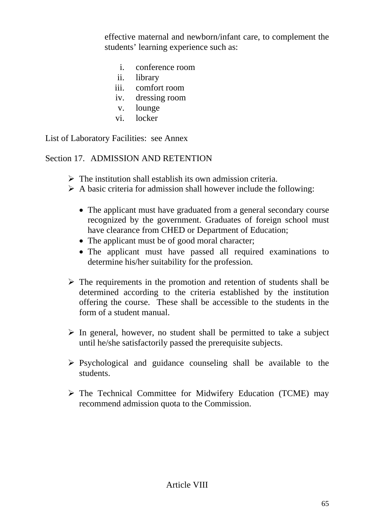effective maternal and newborn/infant care, to complement the students' learning experience such as:

- i. conference room
- ii. library
- iii. comfort room
- iv. dressing room
- v. lounge
- vi. locker

List of Laboratory Facilities: see Annex

### Section 17. ADMISSION AND RETENTION

- $\triangleright$  The institution shall establish its own admission criteria.
- $\triangleright$  A basic criteria for admission shall however include the following:
	- The applicant must have graduated from a general secondary course recognized by the government. Graduates of foreign school must have clearance from CHED or Department of Education;
	- The applicant must be of good moral character;
	- The applicant must have passed all required examinations to determine his/her suitability for the profession.
- $\triangleright$  The requirements in the promotion and retention of students shall be determined according to the criteria established by the institution offering the course. These shall be accessible to the students in the form of a student manual.
- $\triangleright$  In general, however, no student shall be permitted to take a subject until he/she satisfactorily passed the prerequisite subjects.
- $\triangleright$  Psychological and guidance counseling shall be available to the students.
- $\triangleright$  The Technical Committee for Midwifery Education (TCME) may recommend admission quota to the Commission.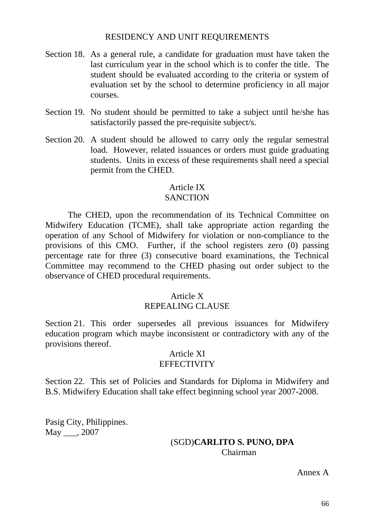### RESIDENCY AND UNIT REQUIREMENTS

- Section 18. As a general rule, a candidate for graduation must have taken the last curriculum year in the school which is to confer the title. The student should be evaluated according to the criteria or system of evaluation set by the school to determine proficiency in all major courses.
- Section 19. No student should be permitted to take a subject until he/she has satisfactorily passed the pre-requisite subject/s.
- Section 20. A student should be allowed to carry only the regular semestral load. However, related issuances or orders must guide graduating students. Units in excess of these requirements shall need a special permit from the CHED.

# Article IX

# **SANCTION**

 The CHED, upon the recommendation of its Technical Committee on Midwifery Education (TCME), shall take appropriate action regarding the operation of any School of Midwifery for violation or non-compliance to the provisions of this CMO. Further, if the school registers zero (0) passing percentage rate for three (3) consecutive board examinations, the Technical Committee may recommend to the CHED phasing out order subject to the observance of CHED procedural requirements.

# Article X

# REPEALING CLAUSE

Section 21. This order supersedes all previous issuances for Midwifery education program which maybe inconsistent or contradictory with any of the provisions thereof.

### Article XI **EFFECTIVITY**

Section 22. This set of Policies and Standards for Diploma in Midwifery and B.S. Midwifery Education shall take effect beginning school year 2007-2008.

Pasig City, Philippines. May \_\_\_, 2007

### (SGD)**CARLITO S. PUNO, DPA**  Chairman

Annex A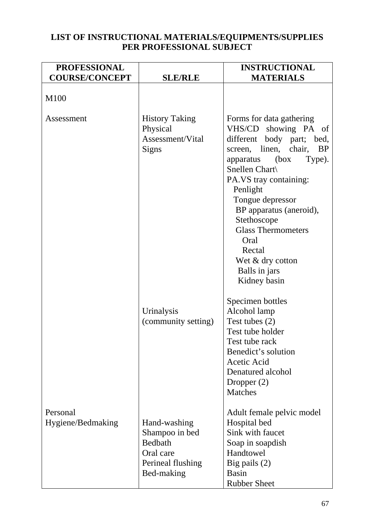### **LIST OF INSTRUCTIONAL MATERIALS/EQUIPMENTS/SUPPLIES PER PROFESSIONAL SUBJECT**

| <b>PROFESSIONAL</b>           |                                                                                           | <b>INSTRUCTIONAL</b>                                                                                                                                                                                                                                                                                                                                                            |
|-------------------------------|-------------------------------------------------------------------------------------------|---------------------------------------------------------------------------------------------------------------------------------------------------------------------------------------------------------------------------------------------------------------------------------------------------------------------------------------------------------------------------------|
| <b>COURSE/CONCEPT</b>         | <b>SLE/RLE</b>                                                                            | <b>MATERIALS</b>                                                                                                                                                                                                                                                                                                                                                                |
| M100                          |                                                                                           |                                                                                                                                                                                                                                                                                                                                                                                 |
| Assessment                    | <b>History Taking</b><br>Physical<br>Assessment/Vital<br><b>Signs</b>                     | Forms for data gathering<br>VHS/CD showing PA of<br>different body part; bed,<br>screen, linen,<br>chair,<br><b>BP</b><br>(box<br>Type).<br>apparatus<br>Snellen Chart\<br>PA.VS tray containing:<br>Penlight<br>Tongue depressor<br>BP apparatus (aneroid),<br>Stethoscope<br><b>Glass Thermometers</b><br>Oral<br>Rectal<br>Wet & dry cotton<br>Balls in jars<br>Kidney basin |
|                               | Urinalysis<br>(community setting)                                                         | Specimen bottles<br>Alcohol lamp<br>Test tubes (2)<br>Test tube holder<br>Test tube rack<br>Benedict's solution<br>Acetic Acid<br>Denatured alcohol<br>Dropper $(2)$<br><b>Matches</b>                                                                                                                                                                                          |
| Personal<br>Hygiene/Bedmaking | Hand-washing<br>Shampoo in bed<br>Bedbath<br>Oral care<br>Perineal flushing<br>Bed-making | Adult female pelvic model<br>Hospital bed<br>Sink with faucet<br>Soap in soapdish<br>Handtowel<br>Big pails $(2)$<br>Basin<br><b>Rubber Sheet</b>                                                                                                                                                                                                                               |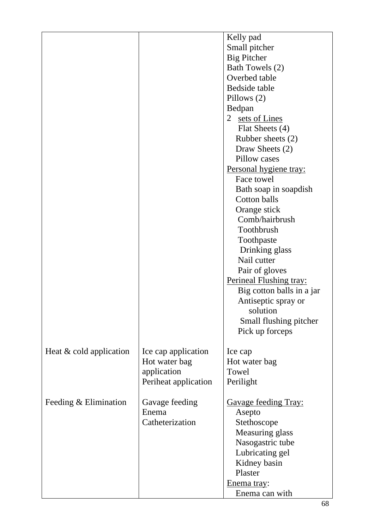|                           |                      | Kelly pad                      |
|---------------------------|----------------------|--------------------------------|
|                           |                      | Small pitcher                  |
|                           |                      | <b>Big Pitcher</b>             |
|                           |                      | Bath Towels (2)                |
|                           |                      | Overbed table                  |
|                           |                      | Bedside table                  |
|                           |                      | Pillows (2)                    |
|                           |                      | Bedpan                         |
|                           |                      | 2 sets of Lines                |
|                           |                      | Flat Sheets (4)                |
|                           |                      | Rubber sheets (2)              |
|                           |                      | Draw Sheets (2)                |
|                           |                      | Pillow cases                   |
|                           |                      | Personal hygiene tray:         |
|                           |                      | Face towel                     |
|                           |                      | Bath soap in soapdish          |
|                           |                      | Cotton balls                   |
|                           |                      |                                |
|                           |                      | Orange stick                   |
|                           |                      | Comb/hairbrush                 |
|                           |                      | Toothbrush                     |
|                           |                      | Toothpaste                     |
|                           |                      | Drinking glass                 |
|                           |                      | Nail cutter                    |
|                           |                      | Pair of gloves                 |
|                           |                      | <b>Perineal Flushing tray:</b> |
|                           |                      | Big cotton balls in a jar      |
|                           |                      | Antiseptic spray or            |
|                           |                      | solution                       |
|                           |                      | Small flushing pitcher         |
|                           |                      | Pick up forceps                |
|                           |                      |                                |
| Heat $&$ cold application | Ice cap application  | Ice cap                        |
|                           | Hot water bag        | Hot water bag                  |
|                           | application          | Towel                          |
|                           | Periheat application | Perilight                      |
|                           |                      |                                |
| Feeding $& Elimination$   | Gavage feeding       | <b>Gavage feeding Tray:</b>    |
|                           | Enema                | Asepto                         |
|                           | Catheterization      | Stethoscope                    |
|                           |                      | Measuring glass                |
|                           |                      | Nasogastric tube               |
|                           |                      | Lubricating gel                |
|                           |                      | Kidney basin                   |
|                           |                      | Plaster                        |
|                           |                      |                                |
|                           |                      | Enema tray:                    |
|                           |                      | Enema can with                 |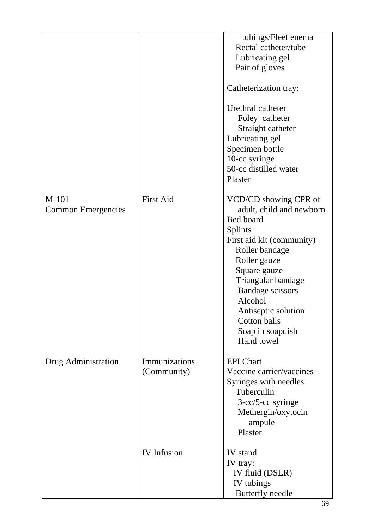|                           |                    | tubings/Fleet enema       |
|---------------------------|--------------------|---------------------------|
|                           |                    | Rectal catheter/tube      |
|                           |                    | Lubricating gel           |
|                           |                    | Pair of gloves            |
|                           |                    | Catheterization tray:     |
|                           |                    | Urethral catheter         |
|                           |                    | Foley catheter            |
|                           |                    | Straight catheter         |
|                           |                    | Lubricating gel           |
|                           |                    | Specimen bottle           |
|                           |                    | 10-cc syringe             |
|                           |                    | 50-cc distilled water     |
|                           |                    | Plaster                   |
| M-101                     | <b>First Aid</b>   | VCD/CD showing CPR of     |
| <b>Common Emergencies</b> |                    | adult, child and newborn  |
|                           |                    | Bed board                 |
|                           |                    | <b>Splints</b>            |
|                           |                    | First aid kit (community) |
|                           |                    | Roller bandage            |
|                           |                    | Roller gauze              |
|                           |                    | Square gauze              |
|                           |                    | Triangular bandage        |
|                           |                    | <b>Bandage scissors</b>   |
|                           |                    | Alcohol                   |
|                           |                    | Antiseptic solution       |
|                           |                    | Cotton balls              |
|                           |                    | Soap in soapdish          |
|                           |                    | Hand towel                |
| Drug Administration       | Immunizations      | <b>EPI</b> Chart          |
|                           | (Community)        | Vaccine carrier/vaccines  |
|                           |                    | Syringes with needles     |
|                           |                    | Tuberculin                |
|                           |                    | 3-cc/5-cc syringe         |
|                           |                    | Methergin/oxytocin        |
|                           |                    | ampule                    |
|                           |                    | Plaster                   |
|                           | <b>IV</b> Infusion | IV stand                  |
|                           |                    | <u>IV tray:</u>           |
|                           |                    | IV fluid (DSLR)           |
|                           |                    | IV tubings                |
|                           |                    | <b>Butterfly</b> needle   |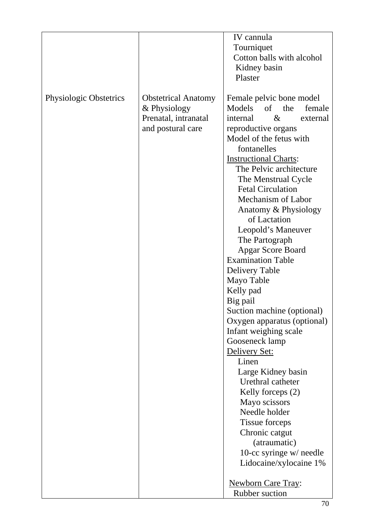|                               |                            | IV cannula                           |
|-------------------------------|----------------------------|--------------------------------------|
|                               |                            | Tourniquet                           |
|                               |                            | Cotton balls with alcohol            |
|                               |                            |                                      |
|                               |                            | Kidney basin                         |
|                               |                            | Plaster                              |
| <b>Physiologic Obstetrics</b> | <b>Obstetrical Anatomy</b> | Female pelvic bone model             |
|                               | & Physiology               | Models<br>of the<br>female           |
|                               | Prenatal, intranatal       | $\&$<br>internal<br>external         |
|                               | and postural care          | reproductive organs                  |
|                               |                            | Model of the fetus with              |
|                               |                            | fontanelles                          |
|                               |                            | <b>Instructional Charts:</b>         |
|                               |                            | The Pelvic architecture              |
|                               |                            | The Menstrual Cycle                  |
|                               |                            | <b>Fetal Circulation</b>             |
|                               |                            | Mechanism of Labor                   |
|                               |                            |                                      |
|                               |                            | Anatomy & Physiology<br>of Lactation |
|                               |                            |                                      |
|                               |                            | Leopold's Maneuver                   |
|                               |                            | The Partograph                       |
|                               |                            | <b>Apgar Score Board</b>             |
|                               |                            | <b>Examination Table</b>             |
|                               |                            | Delivery Table                       |
|                               |                            | Mayo Table                           |
|                               |                            | Kelly pad                            |
|                               |                            | Big pail                             |
|                               |                            | Suction machine (optional)           |
|                               |                            | Oxygen apparatus (optional)          |
|                               |                            | Infant weighing scale                |
|                               |                            | Gooseneck lamp                       |
|                               |                            | Delivery Set:                        |
|                               |                            | Linen                                |
|                               |                            | Large Kidney basin                   |
|                               |                            | Urethral catheter                    |
|                               |                            | Kelly forceps (2)                    |
|                               |                            | Mayo scissors                        |
|                               |                            | Needle holder                        |
|                               |                            | Tissue forceps                       |
|                               |                            | Chronic catgut                       |
|                               |                            | (atraumatic)                         |
|                               |                            | 10-cc syringe $w$ needle             |
|                               |                            | Lidocaine/xylocaine 1%               |
|                               |                            |                                      |
|                               |                            | <b>Newborn Care Tray:</b>            |
|                               |                            | Rubber suction                       |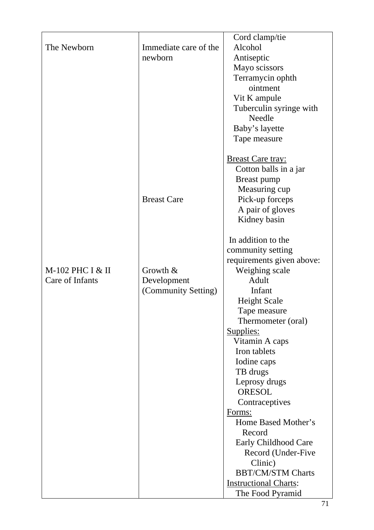|                  |                       | Cord clamp/tie               |
|------------------|-----------------------|------------------------------|
| The Newborn      | Immediate care of the | Alcohol                      |
|                  | newborn               | Antiseptic                   |
|                  |                       | Mayo scissors                |
|                  |                       | Terramycin ophth             |
|                  |                       | ointment                     |
|                  |                       | Vit K ampule                 |
|                  |                       | Tuberculin syringe with      |
|                  |                       | Needle                       |
|                  |                       | Baby's layette               |
|                  |                       | Tape measure                 |
|                  |                       |                              |
|                  |                       | <b>Breast Care tray:</b>     |
|                  |                       | Cotton balls in a jar        |
|                  |                       | Breast pump                  |
|                  |                       | Measuring cup                |
|                  | <b>Breast Care</b>    | Pick-up forceps              |
|                  |                       | A pair of gloves             |
|                  |                       | Kidney basin                 |
|                  |                       |                              |
|                  |                       | In addition to the           |
|                  |                       | community setting            |
|                  |                       | requirements given above:    |
| M-102 PHC I & II | Growth $&$            | Weighing scale               |
| Care of Infants  | Development           | Adult                        |
|                  | (Community Setting)   | Infant                       |
|                  |                       | <b>Height Scale</b>          |
|                  |                       | Tape measure                 |
|                  |                       | Thermometer (oral)           |
|                  |                       | Supplies:                    |
|                  |                       | Vitamin A caps               |
|                  |                       | Iron tablets                 |
|                  |                       | Iodine caps                  |
|                  |                       | TB drugs                     |
|                  |                       | Leprosy drugs                |
|                  |                       | <b>ORESOL</b>                |
|                  |                       | Contraceptives               |
|                  |                       | Forms:                       |
|                  |                       | Home Based Mother's          |
|                  |                       | Record                       |
|                  |                       | Early Childhood Care         |
|                  |                       | Record (Under-Five           |
|                  |                       | Clinic)                      |
|                  |                       | <b>BBT/CM/STM Charts</b>     |
|                  |                       | <b>Instructional Charts:</b> |
|                  |                       | The Food Pyramid             |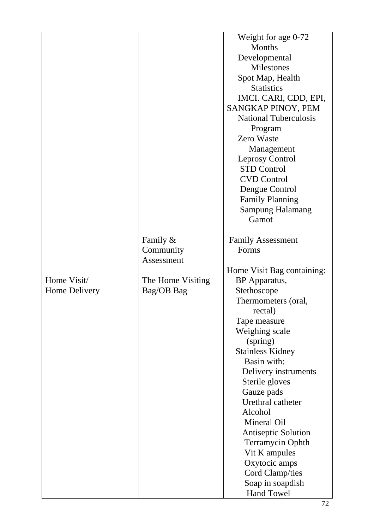|               |                   | Weight for age 0-72          |
|---------------|-------------------|------------------------------|
|               |                   | Months                       |
|               |                   | Developmental                |
|               |                   | <b>Milestones</b>            |
|               |                   | Spot Map, Health             |
|               |                   | <b>Statistics</b>            |
|               |                   | IMCI. CARI, CDD, EPI,        |
|               |                   | SANGKAP PINOY, PEM           |
|               |                   | <b>National Tuberculosis</b> |
|               |                   | Program                      |
|               |                   | <b>Zero Waste</b>            |
|               |                   | Management                   |
|               |                   | <b>Leprosy Control</b>       |
|               |                   | <b>STD Control</b>           |
|               |                   | <b>CVD Control</b>           |
|               |                   | Dengue Control               |
|               |                   | <b>Family Planning</b>       |
|               |                   | <b>Sampung Halamang</b>      |
|               |                   | Gamot                        |
|               |                   |                              |
|               | Family &          | <b>Family Assessment</b>     |
|               | Community         | Forms                        |
|               | Assessment        |                              |
|               |                   | Home Visit Bag containing:   |
| Home Visit/   | The Home Visiting | BP Apparatus,                |
| Home Delivery | Bag/OB Bag        | Stethoscope                  |
|               |                   | Thermometers (oral,          |
|               |                   | rectal)                      |
|               |                   | Tape measure                 |
|               |                   | Weighing scale               |
|               |                   |                              |
|               |                   | (spring)                     |
|               |                   | <b>Stainless Kidney</b>      |
|               |                   | Basin with:                  |
|               |                   | Delivery instruments         |
|               |                   | Sterile gloves               |
|               |                   | Gauze pads                   |
|               |                   | Urethral catheter            |
|               |                   | Alcohol                      |
|               |                   | Mineral Oil                  |
|               |                   | <b>Antiseptic Solution</b>   |
|               |                   | <b>Terramycin Ophth</b>      |
|               |                   | Vit K ampules                |
|               |                   | Oxytocic amps                |
|               |                   | Cord Clamp/ties              |
|               |                   | Soap in soapdish             |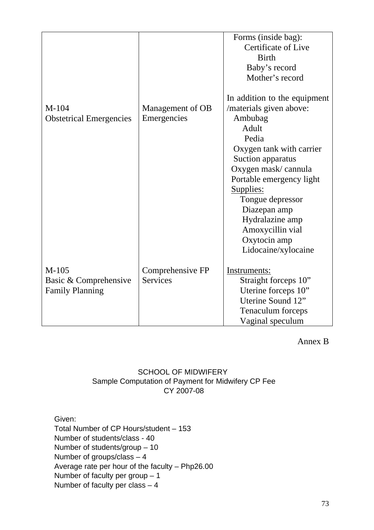|                                |                  | Forms (inside bag):          |
|--------------------------------|------------------|------------------------------|
|                                |                  | Certificate of Live          |
|                                |                  | <b>Birth</b>                 |
|                                |                  | Baby's record                |
|                                |                  | Mother's record              |
|                                |                  |                              |
|                                |                  | In addition to the equipment |
| $M-104$                        | Management of OB | /materials given above:      |
| <b>Obstetrical Emergencies</b> | Emergencies      | Ambubag                      |
|                                |                  | Adult                        |
|                                |                  | Pedia                        |
|                                |                  | Oxygen tank with carrier     |
|                                |                  | Suction apparatus            |
|                                |                  | Oxygen mask/cannula          |
|                                |                  | Portable emergency light     |
|                                |                  | Supplies:                    |
|                                |                  | Tongue depressor             |
|                                |                  | Diazepan amp                 |
|                                |                  | Hydralazine amp              |
|                                |                  | Amoxycillin vial             |
|                                |                  |                              |
|                                |                  | Oxytocin amp                 |
|                                |                  | Lidocaine/xylocaine          |
| $M-105$                        | Comprehensive FP | Instruments:                 |
| Basic & Comprehensive          | <b>Services</b>  | Straight forceps 10"         |
| <b>Family Planning</b>         |                  | Uterine forceps 10"          |
|                                |                  | Uterine Sound 12"            |
|                                |                  |                              |
|                                |                  | Tenaculum forceps            |
|                                |                  | Vaginal speculum             |

Annex B

## SCHOOL OF MIDWIFERY Sample Computation of Payment for Midwifery CP Fee CY 2007-08

Given:

Total Number of CP Hours/student – 153 Number of students/class - 40 Number of students/group – 10 Number of groups/class – 4 Average rate per hour of the faculty – Php26.00 Number of faculty per group – 1 Number of faculty per class – 4